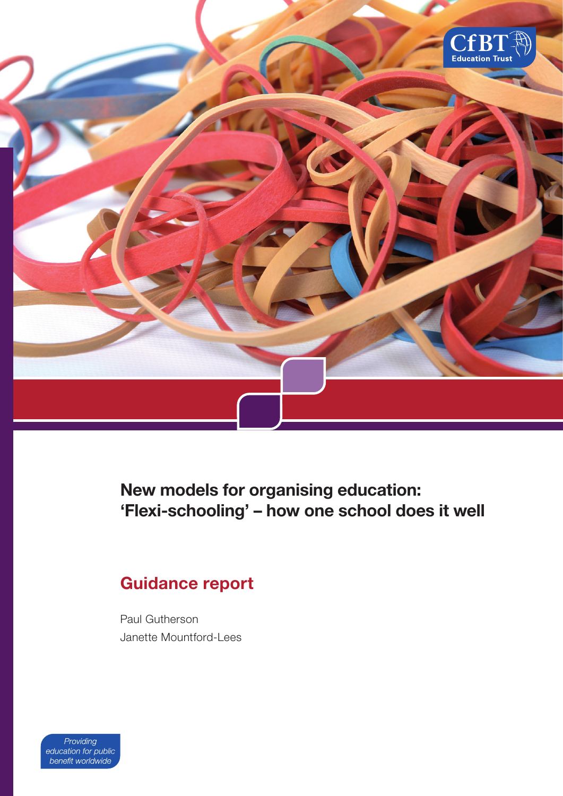

**New models for organising education: 'Flexi-schooling' – how one school does it well**

## **Guidance report**

Paul Gutherson Janette Mountford-Lees

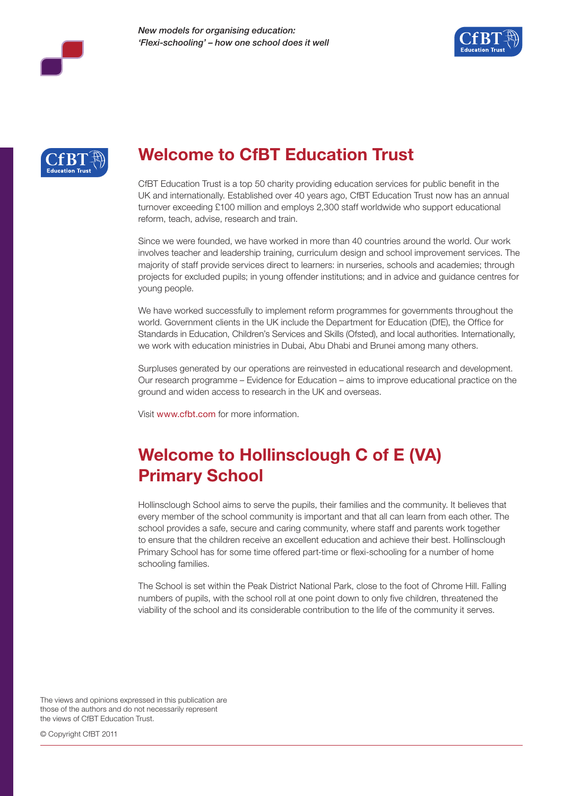





## **Welcome to CfBT Education Trust**

CfBT Education Trust is a top 50 charity providing education services for public benefit in the UK and internationally. Established over 40 years ago, CfBT Education Trust now has an annual turnover exceeding £100 million and employs 2,300 staff worldwide who support educational reform, teach, advise, research and train.

Since we were founded, we have worked in more than 40 countries around the world. Our work involves teacher and leadership training, curriculum design and school improvement services. The majority of staff provide services direct to learners: in nurseries, schools and academies; through projects for excluded pupils; in young offender institutions; and in advice and guidance centres for young people.

We have worked successfully to implement reform programmes for governments throughout the world. Government clients in the UK include the Department for Education (DfE), the Office for Standards in Education, Children's Services and Skills (Ofsted), and local authorities. Internationally, we work with education ministries in Dubai, Abu Dhabi and Brunei among many others.

Surpluses generated by our operations are reinvested in educational research and development. Our research programme – Evidence for Education – aims to improve educational practice on the ground and widen access to research in the UK and overseas.

Visit www.cfbt.com for more information.

# **Welcome to Hollinsclough C of E (VA) Primary School**

Hollinsclough School aims to serve the pupils, their families and the community. It believes that every member of the school community is important and that all can learn from each other. The school provides a safe, secure and caring community, where staff and parents work together to ensure that the children receive an excellent education and achieve their best. Hollinsclough Primary School has for some time offered part-time or flexi-schooling for a number of home schooling families.

The School is set within the Peak District National Park, close to the foot of Chrome Hill. Falling numbers of pupils, with the school roll at one point down to only five children, threatened the viability of the school and its considerable contribution to the life of the community it serves.

The views and opinions expressed in this publication are those of the authors and do not necessarily represent the views of CfBT Education Trust.

© Copyright CfBT 2011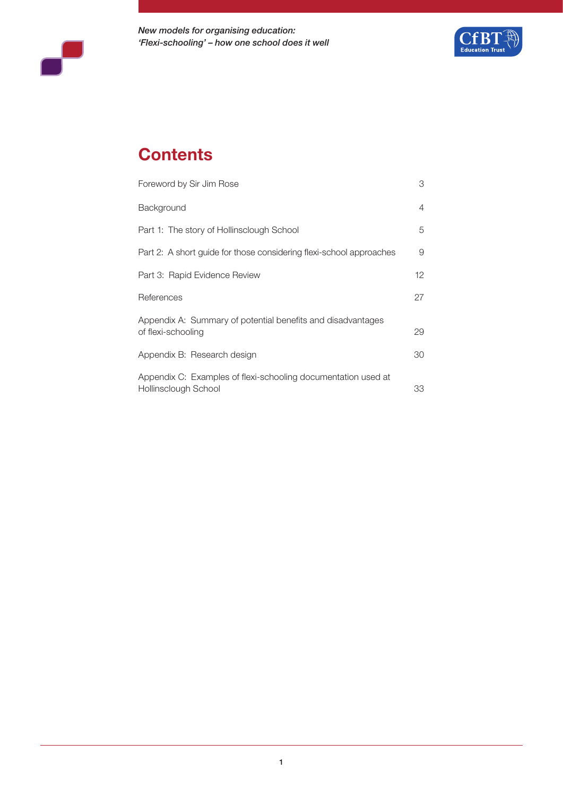



# **Contents**

| Foreword by Sir Jim Rose                                                              | 3  |
|---------------------------------------------------------------------------------------|----|
| Background                                                                            | 4  |
| Part 1: The story of Hollinsclough School                                             | 5  |
| Part 2: A short guide for those considering flexi-school approaches                   | 9  |
| Part 3: Rapid Evidence Review                                                         | 12 |
| References                                                                            | 27 |
| Appendix A: Summary of potential benefits and disadvantages<br>of flexi-schooling     | 29 |
| Appendix B: Research design                                                           | 30 |
| Appendix C: Examples of flexi-schooling documentation used at<br>Hollinsclough School | 33 |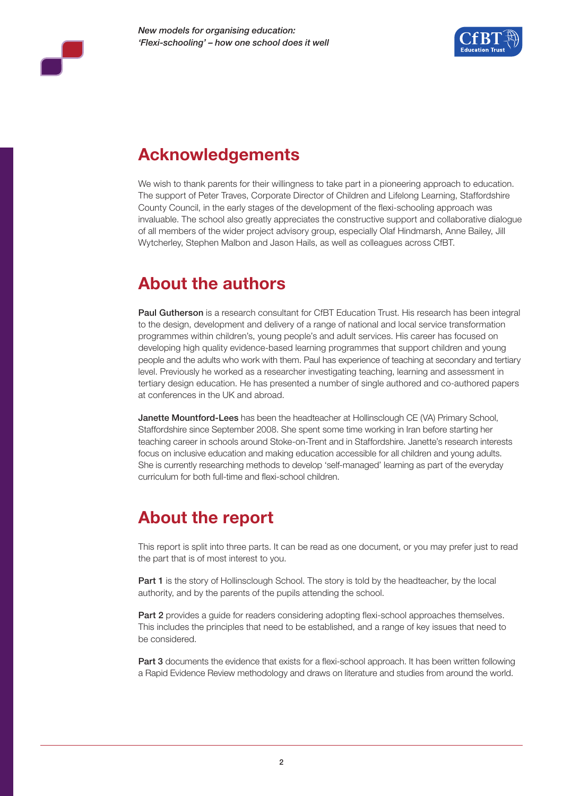



## **Acknowledgements**

We wish to thank parents for their willingness to take part in a pioneering approach to education. The support of Peter Traves, Corporate Director of Children and Lifelong Learning, Staffordshire County Council, in the early stages of the development of the flexi-schooling approach was invaluable. The school also greatly appreciates the constructive support and collaborative dialogue of all members of the wider project advisory group, especially Olaf Hindmarsh, Anne Bailey, Jill Wytcherley, Stephen Malbon and Jason Hails, as well as colleagues across CfBT.

## **About the authors**

Paul Gutherson is a research consultant for CfBT Education Trust. His research has been integral to the design, development and delivery of a range of national and local service transformation programmes within children's, young people's and adult services. His career has focused on developing high quality evidence-based learning programmes that support children and young people and the adults who work with them. Paul has experience of teaching at secondary and tertiary level. Previously he worked as a researcher investigating teaching, learning and assessment in tertiary design education. He has presented a number of single authored and co-authored papers at conferences in the UK and abroad.

Janette Mountford-Lees has been the headteacher at Hollinsclough CE (VA) Primary School, Staffordshire since September 2008. She spent some time working in Iran before starting her teaching career in schools around Stoke-on-Trent and in Staffordshire. Janette's research interests focus on inclusive education and making education accessible for all children and young adults. She is currently researching methods to develop 'self-managed' learning as part of the everyday curriculum for both full-time and flexi-school children.

## **About the report**

This report is split into three parts. It can be read as one document, or you may prefer just to read the part that is of most interest to you.

**Part 1** is the story of Hollinsclough School. The story is told by the headteacher, by the local authority, and by the parents of the pupils attending the school.

Part 2 provides a guide for readers considering adopting flexi-school approaches themselves. This includes the principles that need to be established, and a range of key issues that need to be considered.

Part 3 documents the evidence that exists for a flexi-school approach. It has been written following a Rapid Evidence Review methodology and draws on literature and studies from around the world.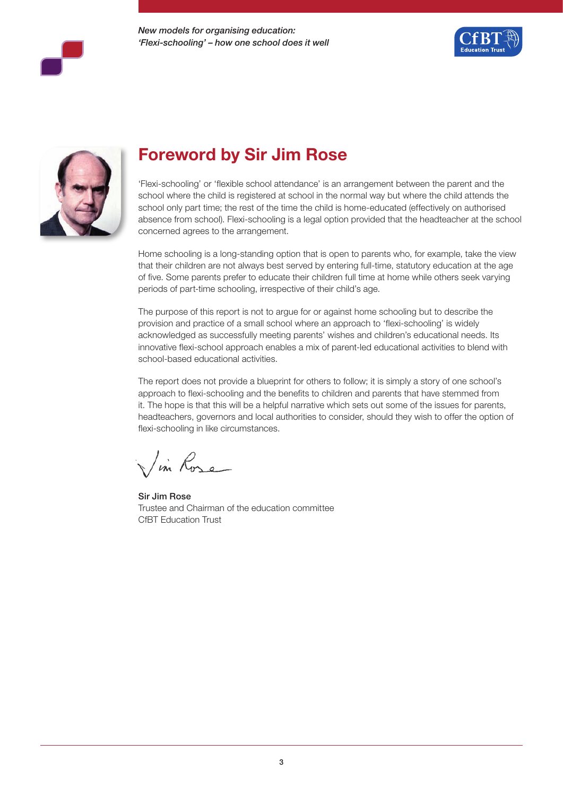





## **Foreword by Sir Jim Rose**

'Flexi-schooling' or 'flexible school attendance' is an arrangement between the parent and the school where the child is registered at school in the normal way but where the child attends the school only part time; the rest of the time the child is home-educated (effectively on authorised absence from school). Flexi-schooling is a legal option provided that the headteacher at the school concerned agrees to the arrangement.

Home schooling is a long-standing option that is open to parents who, for example, take the view that their children are not always best served by entering full-time, statutory education at the age of five. Some parents prefer to educate their children full time at home while others seek varying periods of part-time schooling, irrespective of their child's age.

The purpose of this report is not to argue for or against home schooling but to describe the provision and practice of a small school where an approach to 'flexi-schooling' is widely acknowledged as successfully meeting parents' wishes and children's educational needs. Its innovative flexi-school approach enables a mix of parent-led educational activities to blend with school-based educational activities.

The report does not provide a blueprint for others to follow; it is simply a story of one school's approach to flexi-schooling and the benefits to children and parents that have stemmed from it. The hope is that this will be a helpful narrative which sets out some of the issues for parents, headteachers, governors and local authorities to consider, should they wish to offer the option of flexi-schooling in like circumstances.

 $\sin \beta$ me

Sir Jim Rose Trustee and Chairman of the education committee CfBT Education Trust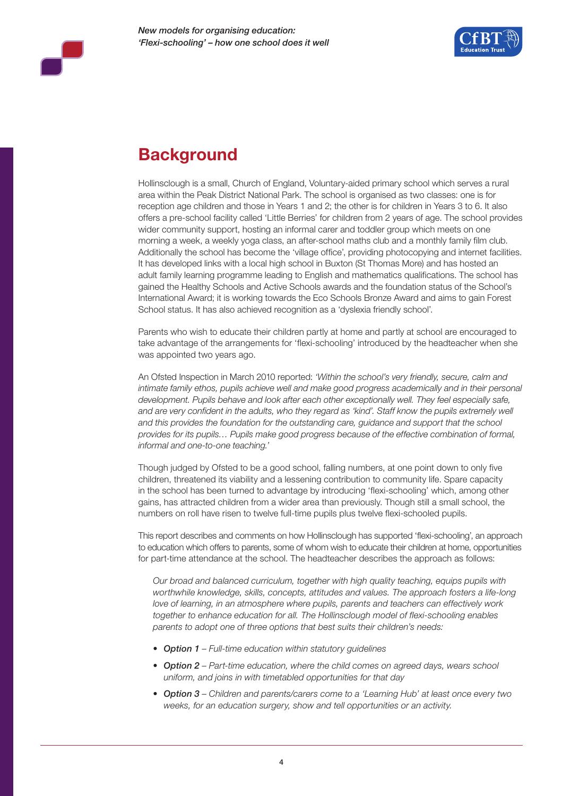



## **Background**

Hollinsclough is a small, Church of England, Voluntary-aided primary school which serves a rural area within the Peak District National Park. The school is organised as two classes: one is for reception age children and those in Years 1 and 2; the other is for children in Years 3 to 6. It also offers a pre-school facility called 'Little Berries' for children from 2 years of age. The school provides wider community support, hosting an informal carer and toddler group which meets on one morning a week, a weekly yoga class, an after-school maths club and a monthly family film club. Additionally the school has become the 'village office', providing photocopying and internet facilities. It has developed links with a local high school in Buxton (St Thomas More) and has hosted an adult family learning programme leading to English and mathematics qualifications. The school has gained the Healthy Schools and Active Schools awards and the foundation status of the School's International Award; it is working towards the Eco Schools Bronze Award and aims to gain Forest School status. It has also achieved recognition as a 'dyslexia friendly school'.

Parents who wish to educate their children partly at home and partly at school are encouraged to take advantage of the arrangements for 'flexi-schooling' introduced by the headteacher when she was appointed two years ago.

An Ofsted Inspection in March 2010 reported: *'Within the school's very friendly, secure, calm and intimate family ethos, pupils achieve well and make good progress academically and in their personal development. Pupils behave and look after each other exceptionally well. They feel especially safe,*  and are very confident in the adults, who they regard as 'kind'. Staff know the pupils extremely well *and this provides the foundation for the outstanding care, guidance and support that the school provides for its pupils… Pupils make good progress because of the effective combination of formal, informal and one-to-one teaching.'*

Though judged by Ofsted to be a good school, falling numbers, at one point down to only five children, threatened its viability and a lessening contribution to community life. Spare capacity in the school has been turned to advantage by introducing 'flexi-schooling' which, among other gains, has attracted children from a wider area than previously. Though still a small school, the numbers on roll have risen to twelve full-time pupils plus twelve flexi-schooled pupils.

This report describes and comments on how Hollinsclough has supported 'flexi-schooling', an approach to education which offers to parents, some of whom wish to educate their children at home, opportunities for part-time attendance at the school. The headteacher describes the approach as follows:

*Our broad and balanced curriculum, together with high quality teaching, equips pupils with worthwhile knowledge, skills, concepts, attitudes and values. The approach fosters a life-long love of learning, in an atmosphere where pupils, parents and teachers can effectively work together to enhance education for all. The Hollinsclough model of flexi-schooling enables parents to adopt one of three options that best suits their children's needs:*

- *• Option 1 Full-time education within statutory guidelines*
- *• Option 2 Part-time education, where the child comes on agreed days, wears school uniform, and joins in with timetabled opportunities for that day*
- *• Option 3 Children and parents/carers come to a 'Learning Hub' at least once every two weeks, for an education surgery, show and tell opportunities or an activity.*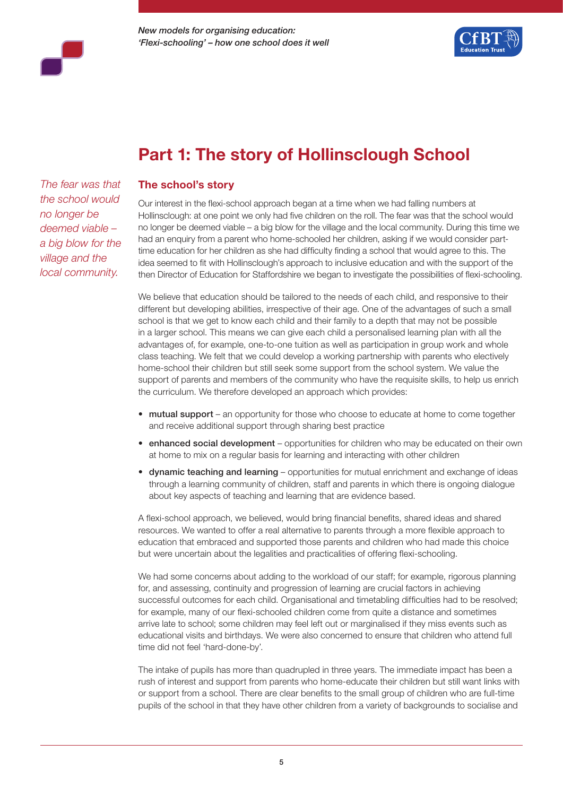

# **Part 1: The story of Hollinsclough School**

### **The school's story**

*The fear was that the school would no longer be deemed viable – a big blow for the village and the local community.*

Our interest in the flexi-school approach began at a time when we had falling numbers at Hollinsclough: at one point we only had five children on the roll. The fear was that the school would no longer be deemed viable – a big blow for the village and the local community. During this time we had an enquiry from a parent who home-schooled her children, asking if we would consider parttime education for her children as she had difficulty finding a school that would agree to this. The idea seemed to fit with Hollinsclough's approach to inclusive education and with the support of the then Director of Education for Staffordshire we began to investigate the possibilities of flexi-schooling.

We believe that education should be tailored to the needs of each child, and responsive to their different but developing abilities, irrespective of their age. One of the advantages of such a small school is that we get to know each child and their family to a depth that may not be possible in a larger school. This means we can give each child a personalised learning plan with all the advantages of, for example, one-to-one tuition as well as participation in group work and whole class teaching. We felt that we could develop a working partnership with parents who electively home-school their children but still seek some support from the school system. We value the support of parents and members of the community who have the requisite skills, to help us enrich the curriculum. We therefore developed an approach which provides:

- mutual support an opportunity for those who choose to educate at home to come together and receive additional support through sharing best practice
- enhanced social development opportunities for children who may be educated on their own at home to mix on a regular basis for learning and interacting with other children
- dynamic teaching and learning opportunities for mutual enrichment and exchange of ideas through a learning community of children, staff and parents in which there is ongoing dialogue about key aspects of teaching and learning that are evidence based.

A flexi-school approach, we believed, would bring financial benefits, shared ideas and shared resources. We wanted to offer a real alternative to parents through a more flexible approach to education that embraced and supported those parents and children who had made this choice but were uncertain about the legalities and practicalities of offering flexi-schooling.

We had some concerns about adding to the workload of our staff; for example, rigorous planning for, and assessing, continuity and progression of learning are crucial factors in achieving successful outcomes for each child. Organisational and timetabling difficulties had to be resolved; for example, many of our flexi-schooled children come from quite a distance and sometimes arrive late to school; some children may feel left out or marginalised if they miss events such as educational visits and birthdays. We were also concerned to ensure that children who attend full time did not feel 'hard-done-by'.

The intake of pupils has more than quadrupled in three years. The immediate impact has been a rush of interest and support from parents who home-educate their children but still want links with or support from a school. There are clear benefits to the small group of children who are full-time pupils of the school in that they have other children from a variety of backgrounds to socialise and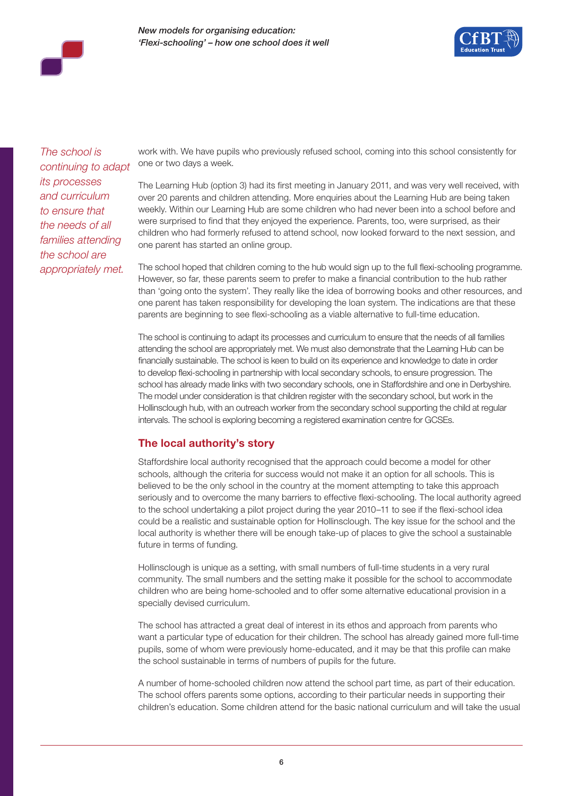



*The school is continuing to adapt its processes and curriculum to ensure that the needs of all families attending the school are appropriately met.* 

work with. We have pupils who previously refused school, coming into this school consistently for one or two days a week.

The Learning Hub (option 3) had its first meeting in January 2011, and was very well received, with over 20 parents and children attending. More enquiries about the Learning Hub are being taken weekly. Within our Learning Hub are some children who had never been into a school before and were surprised to find that they enjoyed the experience. Parents, too, were surprised, as their children who had formerly refused to attend school, now looked forward to the next session, and one parent has started an online group.

The school hoped that children coming to the hub would sign up to the full flexi-schooling programme. However, so far, these parents seem to prefer to make a financial contribution to the hub rather than 'going onto the system'. They really like the idea of borrowing books and other resources, and one parent has taken responsibility for developing the loan system. The indications are that these parents are beginning to see flexi-schooling as a viable alternative to full-time education.

The school is continuing to adapt its processes and curriculum to ensure that the needs of all families attending the school are appropriately met. We must also demonstrate that the Learning Hub can be financially sustainable. The school is keen to build on its experience and knowledge to date in order to develop flexi-schooling in partnership with local secondary schools, to ensure progression. The school has already made links with two secondary schools, one in Staffordshire and one in Derbyshire. The model under consideration is that children register with the secondary school, but work in the Hollinsclough hub, with an outreach worker from the secondary school supporting the child at regular intervals. The school is exploring becoming a registered examination centre for GCSEs.

## **The local authority's story**

Staffordshire local authority recognised that the approach could become a model for other schools, although the criteria for success would not make it an option for all schools. This is believed to be the only school in the country at the moment attempting to take this approach seriously and to overcome the many barriers to effective flexi-schooling. The local authority agreed to the school undertaking a pilot project during the year 2010–11 to see if the flexi-school idea could be a realistic and sustainable option for Hollinsclough. The key issue for the school and the local authority is whether there will be enough take-up of places to give the school a sustainable future in terms of funding.

Hollinsclough is unique as a setting, with small numbers of full-time students in a very rural community. The small numbers and the setting make it possible for the school to accommodate children who are being home-schooled and to offer some alternative educational provision in a specially devised curriculum.

The school has attracted a great deal of interest in its ethos and approach from parents who want a particular type of education for their children. The school has already gained more full-time pupils, some of whom were previously home-educated, and it may be that this profile can make the school sustainable in terms of numbers of pupils for the future.

A number of home-schooled children now attend the school part time, as part of their education. The school offers parents some options, according to their particular needs in supporting their children's education. Some children attend for the basic national curriculum and will take the usual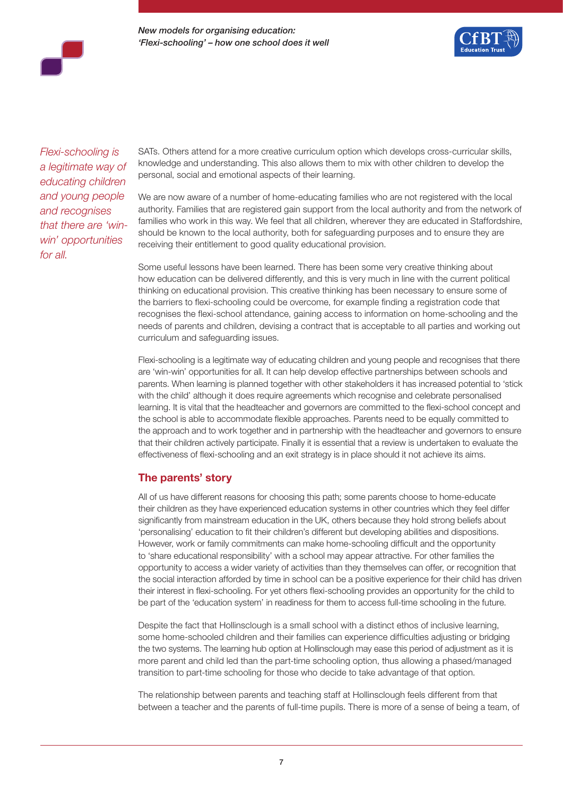



SATs. Others attend for a more creative curriculum option which develops cross-curricular skills, knowledge and understanding. This also allows them to mix with other children to develop the personal, social and emotional aspects of their learning.

We are now aware of a number of home-educating families who are not registered with the local authority. Families that are registered gain support from the local authority and from the network of families who work in this way. We feel that all children, wherever they are educated in Staffordshire, should be known to the local authority, both for safeguarding purposes and to ensure they are receiving their entitlement to good quality educational provision.

Some useful lessons have been learned. There has been some very creative thinking about how education can be delivered differently, and this is very much in line with the current political thinking on educational provision. This creative thinking has been necessary to ensure some of the barriers to flexi-schooling could be overcome, for example finding a registration code that recognises the flexi-school attendance, gaining access to information on home-schooling and the needs of parents and children, devising a contract that is acceptable to all parties and working out curriculum and safeguarding issues.

Flexi-schooling is a legitimate way of educating children and young people and recognises that there are 'win-win' opportunities for all. It can help develop effective partnerships between schools and parents. When learning is planned together with other stakeholders it has increased potential to 'stick with the child' although it does require agreements which recognise and celebrate personalised learning. It is vital that the headteacher and governors are committed to the flexi-school concept and the school is able to accommodate flexible approaches. Parents need to be equally committed to the approach and to work together and in partnership with the headteacher and governors to ensure that their children actively participate. Finally it is essential that a review is undertaken to evaluate the effectiveness of flexi-schooling and an exit strategy is in place should it not achieve its aims.

### **The parents' story**

All of us have different reasons for choosing this path; some parents choose to home-educate their children as they have experienced education systems in other countries which they feel differ significantly from mainstream education in the UK, others because they hold strong beliefs about 'personalising' education to fit their children's different but developing abilities and dispositions. However, work or family commitments can make home-schooling difficult and the opportunity to 'share educational responsibility' with a school may appear attractive. For other families the opportunity to access a wider variety of activities than they themselves can offer, or recognition that the social interaction afforded by time in school can be a positive experience for their child has driven their interest in flexi-schooling. For yet others flexi-schooling provides an opportunity for the child to be part of the 'education system' in readiness for them to access full-time schooling in the future.

Despite the fact that Hollinsclough is a small school with a distinct ethos of inclusive learning, some home-schooled children and their families can experience difficulties adjusting or bridging the two systems. The learning hub option at Hollinsclough may ease this period of adjustment as it is more parent and child led than the part-time schooling option, thus allowing a phased/managed transition to part-time schooling for those who decide to take advantage of that option.

The relationship between parents and teaching staff at Hollinsclough feels different from that between a teacher and the parents of full-time pupils. There is more of a sense of being a team, of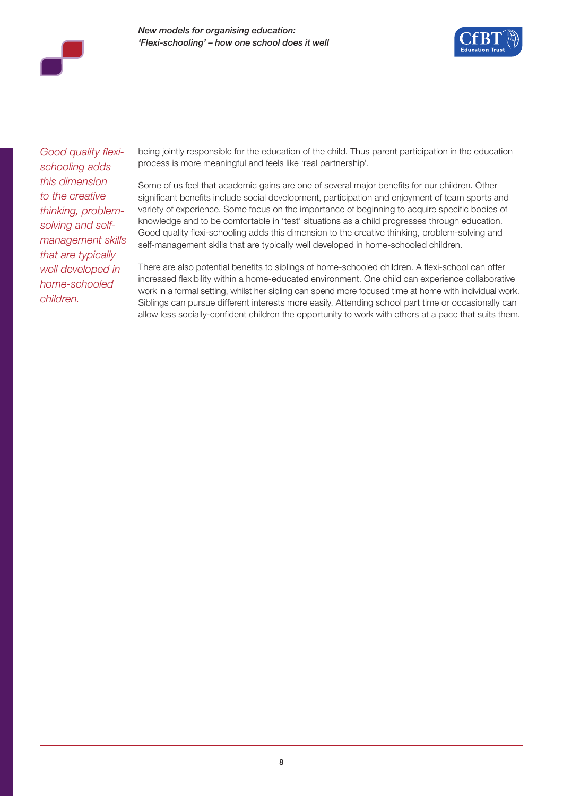



*Good quality flexischooling adds this dimension to the creative thinking, problemsolving and selfmanagement skills that are typically well developed in home-schooled children.*

being jointly responsible for the education of the child. Thus parent participation in the education process is more meaningful and feels like 'real partnership'.

Some of us feel that academic gains are one of several major benefits for our children. Other significant benefits include social development, participation and enjoyment of team sports and variety of experience. Some focus on the importance of beginning to acquire specific bodies of knowledge and to be comfortable in 'test' situations as a child progresses through education. Good quality flexi-schooling adds this dimension to the creative thinking, problem-solving and self-management skills that are typically well developed in home-schooled children.

There are also potential benefits to siblings of home-schooled children. A flexi-school can offer increased flexibility within a home-educated environment. One child can experience collaborative work in a formal setting, whilst her sibling can spend more focused time at home with individual work. Siblings can pursue different interests more easily. Attending school part time or occasionally can allow less socially-confident children the opportunity to work with others at a pace that suits them.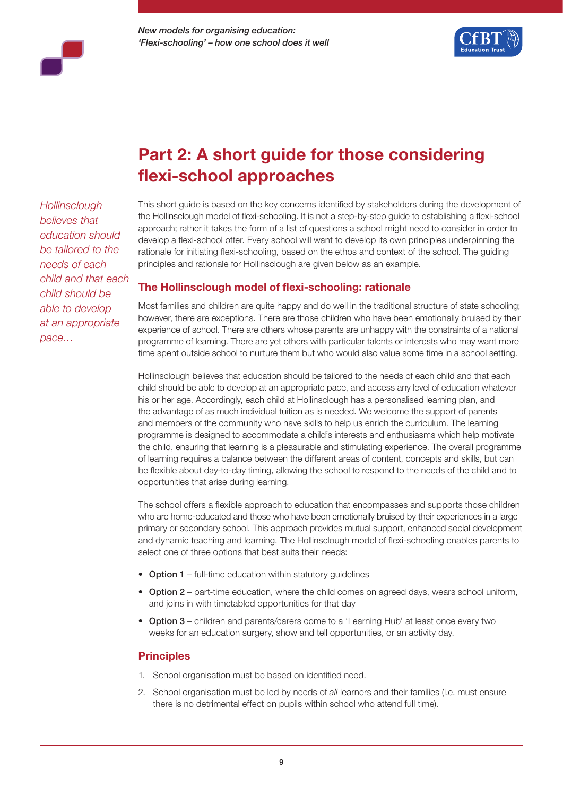



## **Part 2: A short guide for those considering flexi-school approaches**

*Hollinsclough believes that education should be tailored to the needs of each child and that each child should be able to develop at an appropriate pace…*

This short guide is based on the key concerns identified by stakeholders during the development of the Hollinsclough model of flexi-schooling. It is not a step-by-step guide to establishing a flexi-school approach; rather it takes the form of a list of questions a school might need to consider in order to develop a flexi-school offer. Every school will want to develop its own principles underpinning the rationale for initiating flexi-schooling, based on the ethos and context of the school. The guiding principles and rationale for Hollinsclough are given below as an example.

### **The Hollinsclough model of flexi-schooling: rationale**

Most families and children are quite happy and do well in the traditional structure of state schooling; however, there are exceptions. There are those children who have been emotionally bruised by their experience of school. There are others whose parents are unhappy with the constraints of a national programme of learning. There are yet others with particular talents or interests who may want more time spent outside school to nurture them but who would also value some time in a school setting.

Hollinsclough believes that education should be tailored to the needs of each child and that each child should be able to develop at an appropriate pace, and access any level of education whatever his or her age. Accordingly, each child at Hollinsclough has a personalised learning plan, and the advantage of as much individual tuition as is needed. We welcome the support of parents and members of the community who have skills to help us enrich the curriculum. The learning programme is designed to accommodate a child's interests and enthusiasms which help motivate the child, ensuring that learning is a pleasurable and stimulating experience. The overall programme of learning requires a balance between the different areas of content, concepts and skills, but can be flexible about day-to-day timing, allowing the school to respond to the needs of the child and to opportunities that arise during learning.

The school offers a flexible approach to education that encompasses and supports those children who are home-educated and those who have been emotionally bruised by their experiences in a large primary or secondary school. This approach provides mutual support, enhanced social development and dynamic teaching and learning. The Hollinsclough model of flexi-schooling enables parents to select one of three options that best suits their needs:

- Option 1 full-time education within statutory quidelines
- Option 2 part-time education, where the child comes on agreed days, wears school uniform, and joins in with timetabled opportunities for that day
- Option 3 children and parents/carers come to a 'Learning Hub' at least once every two weeks for an education surgery, show and tell opportunities, or an activity day.

### **Principles**

- 1. School organisation must be based on identified need.
- 2. School organisation must be led by needs of *all* learners and their families (i.e. must ensure there is no detrimental effect on pupils within school who attend full time).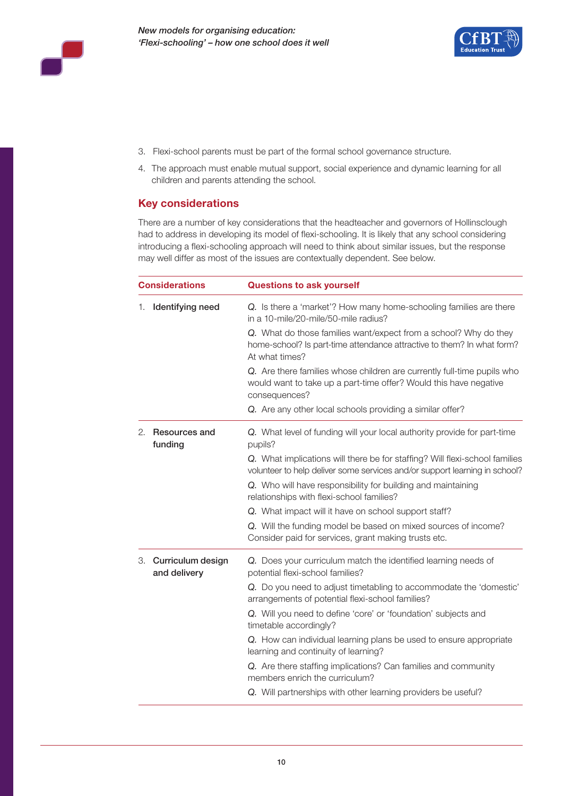



- 3. Flexi-school parents must be part of the formal school governance structure.
- 4. The approach must enable mutual support, social experience and dynamic learning for all children and parents attending the school.

### **Key considerations**

There are a number of key considerations that the headteacher and governors of Hollinsclough had to address in developing its model of flexi-schooling. It is likely that any school considering introducing a flexi-schooling approach will need to think about similar issues, but the response may well differ as most of the issues are contextually dependent. See below.

| <b>Considerations</b>  |                                      | <b>Questions to ask yourself</b>                                                                                                                              |  |  |  |  |  |  |  |
|------------------------|--------------------------------------|---------------------------------------------------------------------------------------------------------------------------------------------------------------|--|--|--|--|--|--|--|
| Identifying need<br>1. |                                      | Q. Is there a 'market'? How many home-schooling families are there<br>in a 10-mile/20-mile/50-mile radius?                                                    |  |  |  |  |  |  |  |
|                        |                                      | Q. What do those families want/expect from a school? Why do they<br>home-school? Is part-time attendance attractive to them? In what form?<br>At what times?  |  |  |  |  |  |  |  |
|                        |                                      | Q. Are there families whose children are currently full-time pupils who<br>would want to take up a part-time offer? Would this have negative<br>consequences? |  |  |  |  |  |  |  |
|                        |                                      | Q. Are any other local schools providing a similar offer?                                                                                                     |  |  |  |  |  |  |  |
| 2.                     | Resources and<br>funding             | Q. What level of funding will your local authority provide for part-time<br>pupils?                                                                           |  |  |  |  |  |  |  |
|                        |                                      | Q. What implications will there be for staffing? Will flexi-school families<br>volunteer to help deliver some services and/or support learning in school?     |  |  |  |  |  |  |  |
|                        |                                      | Q. Who will have responsibility for building and maintaining<br>relationships with flexi-school families?                                                     |  |  |  |  |  |  |  |
|                        |                                      | Q. What impact will it have on school support staff?                                                                                                          |  |  |  |  |  |  |  |
|                        |                                      | Q. Will the funding model be based on mixed sources of income?<br>Consider paid for services, grant making trusts etc.                                        |  |  |  |  |  |  |  |
|                        | 3. Curriculum design<br>and delivery | Q. Does your curriculum match the identified learning needs of<br>potential flexi-school families?                                                            |  |  |  |  |  |  |  |
|                        |                                      | Q. Do you need to adjust timetabling to accommodate the 'domestic'<br>arrangements of potential flexi-school families?                                        |  |  |  |  |  |  |  |
|                        |                                      | Q. Will you need to define 'core' or 'foundation' subjects and<br>timetable accordingly?                                                                      |  |  |  |  |  |  |  |
|                        |                                      | Q. How can individual learning plans be used to ensure appropriate<br>learning and continuity of learning?                                                    |  |  |  |  |  |  |  |
|                        |                                      | Q. Are there staffing implications? Can families and community<br>members enrich the curriculum?                                                              |  |  |  |  |  |  |  |
|                        |                                      | Q. Will partnerships with other learning providers be useful?                                                                                                 |  |  |  |  |  |  |  |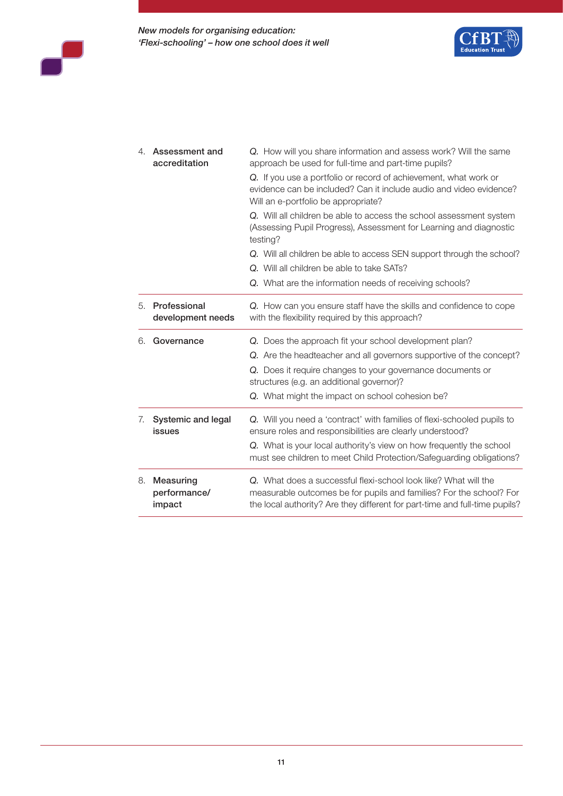

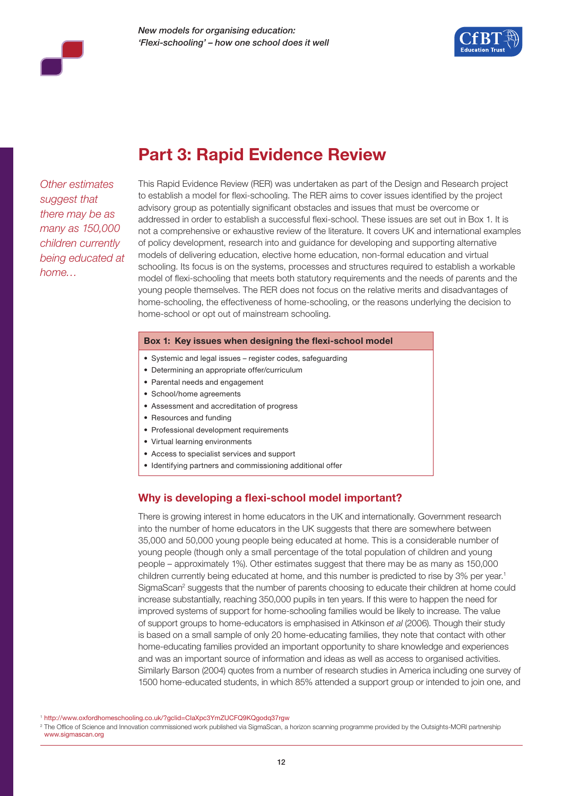



## **Part 3: Rapid Evidence Review**

*Other estimates suggest that there may be as many as 150,000 children currently being educated at home…*

This Rapid Evidence Review (RER) was undertaken as part of the Design and Research project to establish a model for flexi-schooling. The RER aims to cover issues identified by the project advisory group as potentially significant obstacles and issues that must be overcome or addressed in order to establish a successful flexi-school. These issues are set out in Box 1. It is not a comprehensive or exhaustive review of the literature. It covers UK and international examples of policy development, research into and guidance for developing and supporting alternative models of delivering education, elective home education, non-formal education and virtual schooling. Its focus is on the systems, processes and structures required to establish a workable model of flexi-schooling that meets both statutory requirements and the needs of parents and the young people themselves. The RER does not focus on the relative merits and disadvantages of home-schooling, the effectiveness of home-schooling, or the reasons underlying the decision to home-school or opt out of mainstream schooling.

#### **Box 1: Key issues when designing the flexi-school model**

- Systemic and legal issues register codes, safeguarding
- Determining an appropriate offer/curriculum
- Parental needs and engagement
- School/home agreements
- Assessment and accreditation of progress
- Resources and funding
- Professional development requirements
- Virtual learning environments
- Access to specialist services and support
- Identifying partners and commissioning additional offer

### **Why is developing a flexi-school model important?**

There is growing interest in home educators in the UK and internationally. Government research into the number of home educators in the UK suggests that there are somewhere between 35,000 and 50,000 young people being educated at home. This is a considerable number of young people (though only a small percentage of the total population of children and young people – approximately 1%). Other estimates suggest that there may be as many as 150,000 children currently being educated at home, and this number is predicted to rise by 3% per year.<sup>1</sup> SigmaScan<sup>2</sup> suggests that the number of parents choosing to educate their children at home could increase substantially, reaching 350,000 pupils in ten years. If this were to happen the need for improved systems of support for home-schooling families would be likely to increase. The value of support groups to home-educators is emphasised in Atkinson *et al* (2006). Though their study is based on a small sample of only 20 home-educating families, they note that contact with other home-educating families provided an important opportunity to share knowledge and experiences and was an important source of information and ideas as well as access to organised activities. Similarly Barson (2004) quotes from a number of research studies in America including one survey of 1500 home-educated students, in which 85% attended a support group or intended to join one, and

<sup>1</sup> http://www.oxfordhomeschooling.co.uk/?gclid=CIaXpc3YmZUCFQ9KQgodq37rgw

<sup>2</sup> The Office of Science and Innovation commissioned work published via SigmaScan, a horizon scanning programme provided by the Outsights-MORI partnership www.sigmascan.org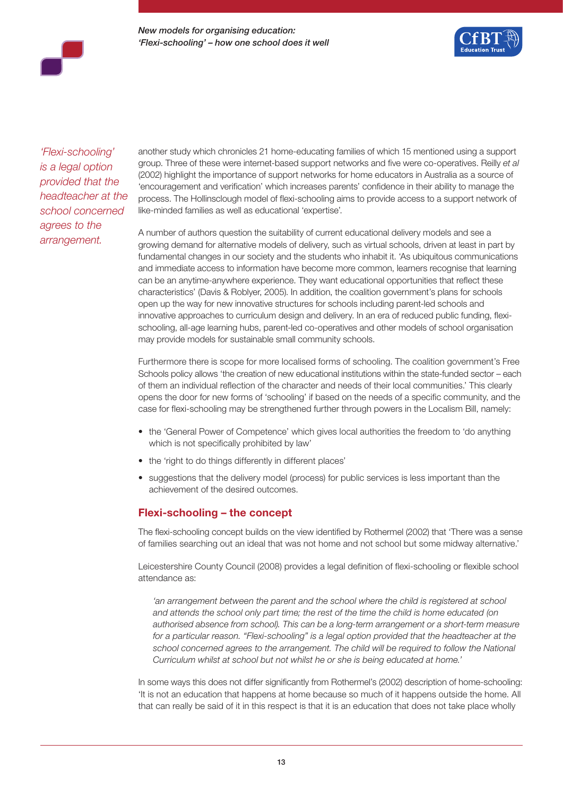



*'Flexi-schooling' is a legal option provided that the headteacher at the school concerned agrees to the arrangement.*

another study which chronicles 21 home-educating families of which 15 mentioned using a support group. Three of these were internet-based support networks and five were co-operatives. Reilly *et al* (2002) highlight the importance of support networks for home educators in Australia as a source of 'encouragement and verification' which increases parents' confidence in their ability to manage the process. The Hollinsclough model of flexi-schooling aims to provide access to a support network of like-minded families as well as educational 'expertise'.

A number of authors question the suitability of current educational delivery models and see a growing demand for alternative models of delivery, such as virtual schools, driven at least in part by fundamental changes in our society and the students who inhabit it. 'As ubiquitous communications and immediate access to information have become more common, learners recognise that learning can be an anytime-anywhere experience. They want educational opportunities that reflect these characteristics' (Davis & Roblyer, 2005). In addition, the coalition government's plans for schools open up the way for new innovative structures for schools including parent-led schools and innovative approaches to curriculum design and delivery. In an era of reduced public funding, flexischooling, all-age learning hubs, parent-led co-operatives and other models of school organisation may provide models for sustainable small community schools.

Furthermore there is scope for more localised forms of schooling. The coalition government's Free Schools policy allows 'the creation of new educational institutions within the state-funded sector – each of them an individual reflection of the character and needs of their local communities.' This clearly opens the door for new forms of 'schooling' if based on the needs of a specific community, and the case for flexi-schooling may be strengthened further through powers in the Localism Bill, namely:

- the 'General Power of Competence' which gives local authorities the freedom to 'do anything which is not specifically prohibited by law'
- the 'right to do things differently in different places'
- suggestions that the delivery model (process) for public services is less important than the achievement of the desired outcomes.

## **Flexi-schooling – the concept**

The flexi-schooling concept builds on the view identified by Rothermel (2002) that 'There was a sense of families searching out an ideal that was not home and not school but some midway alternative.'

Leicestershire County Council (2008) provides a legal definition of flexi-schooling or flexible school attendance as:

'an arrangement between the parent and the school where the child is registered at school *and attends the school only part time; the rest of the time the child is home educated (on authorised absence from school). This can be a long-term arrangement or a short-term measure*  for a particular reason. "Flexi-schooling" is a legal option provided that the headteacher at the school concerned agrees to the arrangement. The child will be required to follow the National *Curriculum whilst at school but not whilst he or she is being educated at home.'*

In some ways this does not differ significantly from Rothermel's (2002) description of home-schooling: 'It is not an education that happens at home because so much of it happens outside the home. All that can really be said of it in this respect is that it is an education that does not take place wholly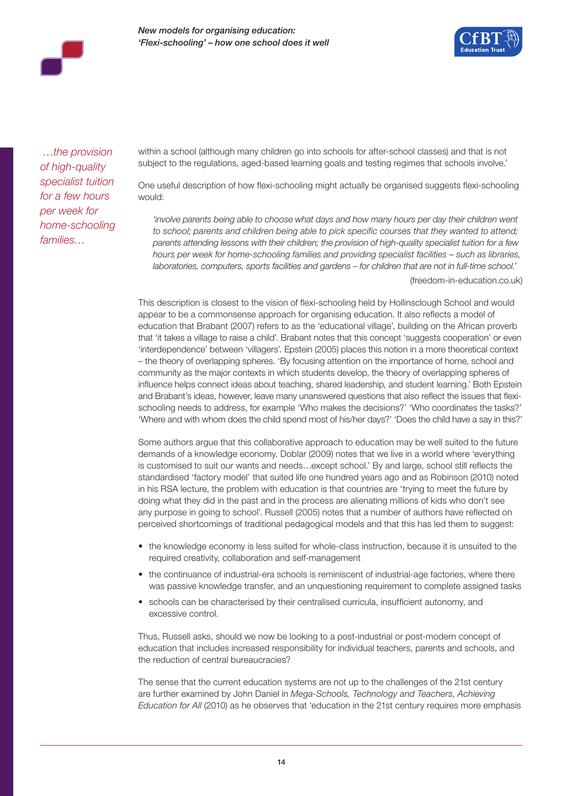



 *…the provision of high-quality specialist tuition for a few hours per week for home-schooling families…*

within a school (although many children go into schools for after-school classes) and that is not subject to the regulations, aged-based learning goals and testing regimes that schools involve.'

One useful description of how flexi-schooling might actually be organised suggests flexi-schooling would:

*'involve parents being able to choose what days and how many hours per day their children went* to school; parents and children being able to pick specific courses that they wanted to attend; *parents attending lessons with their children; the provision of high-quality specialist tuition for a few hours per week for home-schooling families and providing specialist facilities – such as libraries, laboratories, computers, sports facilities and gardens – for children that are not in full-time school.'*  (freedom-in-education.co.uk)

This description is closest to the vision of flexi-schooling held by Hollinsclough School and would appear to be a commonsense approach for organising education. It also reflects a model of education that Brabant (2007) refers to as the 'educational village', building on the African proverb that 'it takes a village to raise a child'. Brabant notes that this concept 'suggests cooperation' or even 'interdependence' between 'villagers'. Epstein (2005) places this notion in a more theoretical context – the theory of overlapping spheres. 'By focusing attention on the importance of home, school and community as the major contexts in which students develop, the theory of overlapping spheres of influence helps connect ideas about teaching, shared leadership, and student learning.' Both Epstein and Brabant's ideas, however, leave many unanswered questions that also reflect the issues that flexischooling needs to address, for example 'Who makes the decisions?' 'Who coordinates the tasks?' 'Where and with whom does the child spend most of his/her days?' 'Does the child have a say in this?'

Some authors argue that this collaborative approach to education may be well suited to the future demands of a knowledge economy. Doblar (2009) notes that we live in a world where 'everything is customised to suit our wants and needs…except school.' By and large, school still reflects the standardised 'factory model' that suited life one hundred years ago and as Robinson (2010) noted in his RSA lecture, the problem with education is that countries are 'trying to meet the future by doing what they did in the past and in the process are alienating millions of kids who don't see any purpose in going to school'. Russell (2005) notes that a number of authors have reflected on perceived shortcomings of traditional pedagogical models and that this has led them to suggest:

- the knowledge economy is less suited for whole-class instruction, because it is unsuited to the required creativity, collaboration and self-management
- the continuance of industrial-era schools is reminiscent of industrial-age factories, where there was passive knowledge transfer, and an unquestioning requirement to complete assigned tasks
- schools can be characterised by their centralised curricula, insufficient autonomy, and excessive control.

Thus, Russell asks, should we now be looking to a post-industrial or post-modern concept of education that includes increased responsibility for individual teachers, parents and schools, and the reduction of central bureaucracies?

The sense that the current education systems are not up to the challenges of the 21st century are further examined by John Daniel in *Mega-Schools, Technology and Teachers, Achieving Education for All* (2010) as he observes that 'education in the 21st century requires more emphasis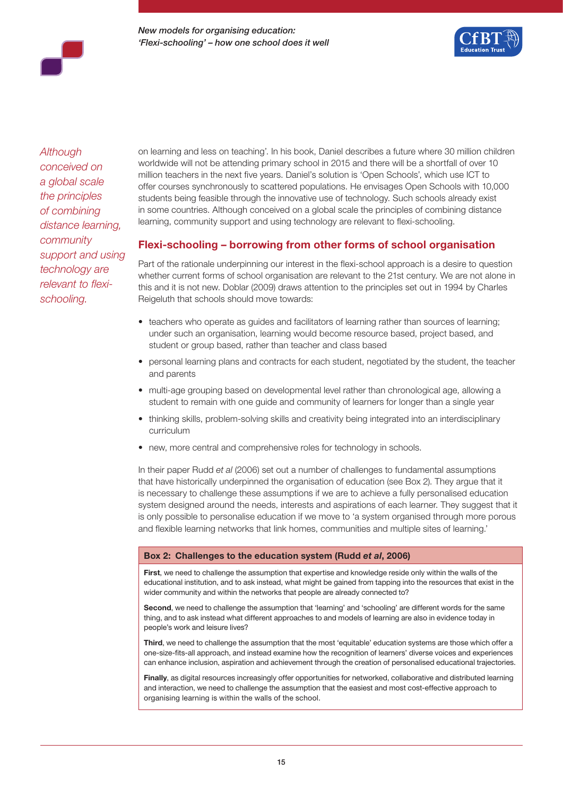*New models for organising education: 'Flexi-schooling' – how one school does it well*



*Although conceived on a global scale the principles of combining distance learning, community support and using technology are relevant to flexischooling.*

on learning and less on teaching'. In his book, Daniel describes a future where 30 million children worldwide will not be attending primary school in 2015 and there will be a shortfall of over 10 million teachers in the next five years. Daniel's solution is 'Open Schools', which use ICT to offer courses synchronously to scattered populations. He envisages Open Schools with 10,000 students being feasible through the innovative use of technology. Such schools already exist in some countries. Although conceived on a global scale the principles of combining distance learning, community support and using technology are relevant to flexi-schooling.

## **Flexi-schooling – borrowing from other forms of school organisation**

Part of the rationale underpinning our interest in the flexi-school approach is a desire to question whether current forms of school organisation are relevant to the 21st century. We are not alone in this and it is not new. Doblar (2009) draws attention to the principles set out in 1994 by Charles Reigeluth that schools should move towards:

- teachers who operate as guides and facilitators of learning rather than sources of learning; under such an organisation, learning would become resource based, project based, and student or group based, rather than teacher and class based
- personal learning plans and contracts for each student, negotiated by the student, the teacher and parents
- multi-age grouping based on developmental level rather than chronological age, allowing a student to remain with one guide and community of learners for longer than a single year
- thinking skills, problem-solving skills and creativity being integrated into an interdisciplinary curriculum
- new, more central and comprehensive roles for technology in schools.

In their paper Rudd *et al* (2006) set out a number of challenges to fundamental assumptions that have historically underpinned the organisation of education (see Box 2). They argue that it is necessary to challenge these assumptions if we are to achieve a fully personalised education system designed around the needs, interests and aspirations of each learner. They suggest that it is only possible to personalise education if we move to 'a system organised through more porous and flexible learning networks that link homes, communities and multiple sites of learning.'

### **Box 2: Challenges to the education system (Rudd** *et al***, 2006)**

**First**, we need to challenge the assumption that expertise and knowledge reside only within the walls of the educational institution, and to ask instead, what might be gained from tapping into the resources that exist in the wider community and within the networks that people are already connected to?

**Second**, we need to challenge the assumption that 'learning' and 'schooling' are different words for the same thing, and to ask instead what different approaches to and models of learning are also in evidence today in people's work and leisure lives?

**Third**, we need to challenge the assumption that the most 'equitable' education systems are those which offer a one-size-fits-all approach, and instead examine how the recognition of learners' diverse voices and experiences can enhance inclusion, aspiration and achievement through the creation of personalised educational trajectories.

**Finally**, as digital resources increasingly offer opportunities for networked, collaborative and distributed learning and interaction, we need to challenge the assumption that the easiest and most cost-effective approach to organising learning is within the walls of the school.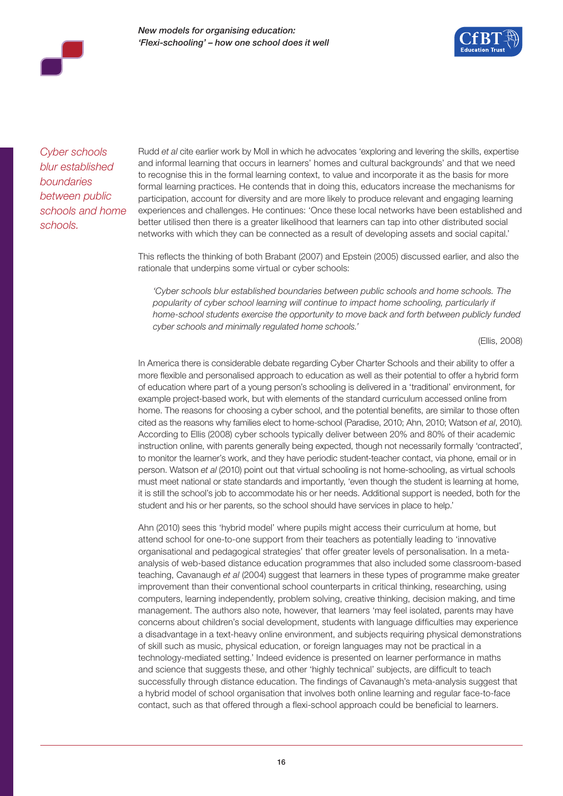



*Cyber schools blur established boundaries between public schools and home schools.*

Rudd *et al* cite earlier work by Moll in which he advocates 'exploring and levering the skills, expertise and informal learning that occurs in learners' homes and cultural backgrounds' and that we need to recognise this in the formal learning context, to value and incorporate it as the basis for more formal learning practices. He contends that in doing this, educators increase the mechanisms for participation, account for diversity and are more likely to produce relevant and engaging learning experiences and challenges. He continues: 'Once these local networks have been established and better utilised then there is a greater likelihood that learners can tap into other distributed social networks with which they can be connected as a result of developing assets and social capital.'

This reflects the thinking of both Brabant (2007) and Epstein (2005) discussed earlier, and also the rationale that underpins some virtual or cyber schools:

*'Cyber schools blur established boundaries between public schools and home schools. The popularity of cyber school learning will continue to impact home schooling, particularly if home-school students exercise the opportunity to move back and forth between publicly funded cyber schools and minimally regulated home schools.'*

(Ellis, 2008)

In America there is considerable debate regarding Cyber Charter Schools and their ability to offer a more flexible and personalised approach to education as well as their potential to offer a hybrid form of education where part of a young person's schooling is delivered in a 'traditional' environment, for example project-based work, but with elements of the standard curriculum accessed online from home. The reasons for choosing a cyber school, and the potential benefits, are similar to those often cited as the reasons why families elect to home-school (Paradise, 2010; Ahn, 2010; Watson *et al*, 2010). According to Ellis (2008) cyber schools typically deliver between 20% and 80% of their academic instruction online, with parents generally being expected, though not necessarily formally 'contracted', to monitor the learner's work, and they have periodic student-teacher contact, via phone, email or in person. Watson *et al* (2010) point out that virtual schooling is not home-schooling, as virtual schools must meet national or state standards and importantly, 'even though the student is learning at home, it is still the school's job to accommodate his or her needs. Additional support is needed, both for the student and his or her parents, so the school should have services in place to help.'

Ahn (2010) sees this 'hybrid model' where pupils might access their curriculum at home, but attend school for one-to-one support from their teachers as potentially leading to 'innovative organisational and pedagogical strategies' that offer greater levels of personalisation. In a metaanalysis of web-based distance education programmes that also included some classroom-based teaching, Cavanaugh *et al* (2004) suggest that learners in these types of programme make greater improvement than their conventional school counterparts in critical thinking, researching, using computers, learning independently, problem solving, creative thinking, decision making, and time management. The authors also note, however, that learners 'may feel isolated, parents may have concerns about children's social development, students with language difficulties may experience a disadvantage in a text-heavy online environment, and subjects requiring physical demonstrations of skill such as music, physical education, or foreign languages may not be practical in a technology-mediated setting.' Indeed evidence is presented on learner performance in maths and science that suggests these, and other 'highly technical' subjects, are difficult to teach successfully through distance education. The findings of Cavanaugh's meta-analysis suggest that a hybrid model of school organisation that involves both online learning and regular face-to-face contact, such as that offered through a flexi-school approach could be beneficial to learners.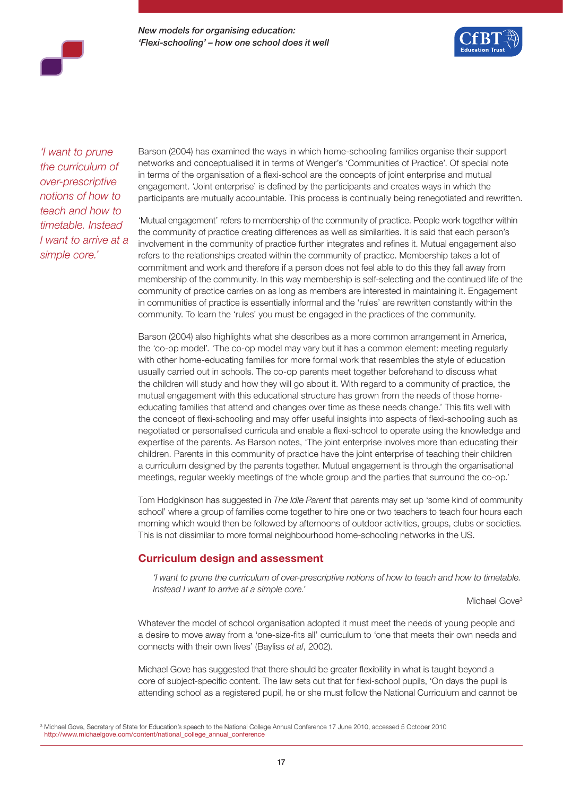



*'I want to prune the curriculum of over-prescriptive notions of how to teach and how to timetable. Instead I want to arrive at a simple core.'*

Barson (2004) has examined the ways in which home-schooling families organise their support networks and conceptualised it in terms of Wenger's 'Communities of Practice'. Of special note in terms of the organisation of a flexi-school are the concepts of joint enterprise and mutual engagement. 'Joint enterprise' is defined by the participants and creates ways in which the participants are mutually accountable. This process is continually being renegotiated and rewritten.

'Mutual engagement' refers to membership of the community of practice. People work together within the community of practice creating differences as well as similarities. It is said that each person's involvement in the community of practice further integrates and refines it. Mutual engagement also refers to the relationships created within the community of practice. Membership takes a lot of commitment and work and therefore if a person does not feel able to do this they fall away from membership of the community. In this way membership is self-selecting and the continued life of the community of practice carries on as long as members are interested in maintaining it. Engagement in communities of practice is essentially informal and the 'rules' are rewritten constantly within the community. To learn the 'rules' you must be engaged in the practices of the community.

Barson (2004) also highlights what she describes as a more common arrangement in America, the 'co-op model'. 'The co-op model may vary but it has a common element: meeting regularly with other home-educating families for more formal work that resembles the style of education usually carried out in schools. The co-op parents meet together beforehand to discuss what the children will study and how they will go about it. With regard to a community of practice, the mutual engagement with this educational structure has grown from the needs of those homeeducating families that attend and changes over time as these needs change.' This fits well with the concept of flexi-schooling and may offer useful insights into aspects of flexi-schooling such as negotiated or personalised curricula and enable a flexi-school to operate using the knowledge and expertise of the parents. As Barson notes, 'The joint enterprise involves more than educating their children. Parents in this community of practice have the joint enterprise of teaching their children a curriculum designed by the parents together. Mutual engagement is through the organisational meetings, regular weekly meetings of the whole group and the parties that surround the co-op.'

Tom Hodgkinson has suggested in *The Idle Parent* that parents may set up 'some kind of community school' where a group of families come together to hire one or two teachers to teach four hours each morning which would then be followed by afternoons of outdoor activities, groups, clubs or societies. This is not dissimilar to more formal neighbourhood home-schooling networks in the US.

### **Curriculum design and assessment**

*'I want to prune the curriculum of over-prescriptive notions of how to teach and how to timetable. Instead I want to arrive at a simple core.'* 

Michael Gove<sup>3</sup>

Whatever the model of school organisation adopted it must meet the needs of young people and a desire to move away from a 'one-size-fits all' curriculum to 'one that meets their own needs and connects with their own lives' (Bayliss *et al*, 2002).

Michael Gove has suggested that there should be greater flexibility in what is taught beyond a core of subject-specific content. The law sets out that for flexi-school pupils, 'On days the pupil is attending school as a registered pupil, he or she must follow the National Curriculum and cannot be

<sup>3</sup> Michael Gove, Secretary of State for Education's speech to the National College Annual Conference 17 June 2010, accessed 5 October 2010 http://www.michaelgove.com/content/national\_college\_annual\_conference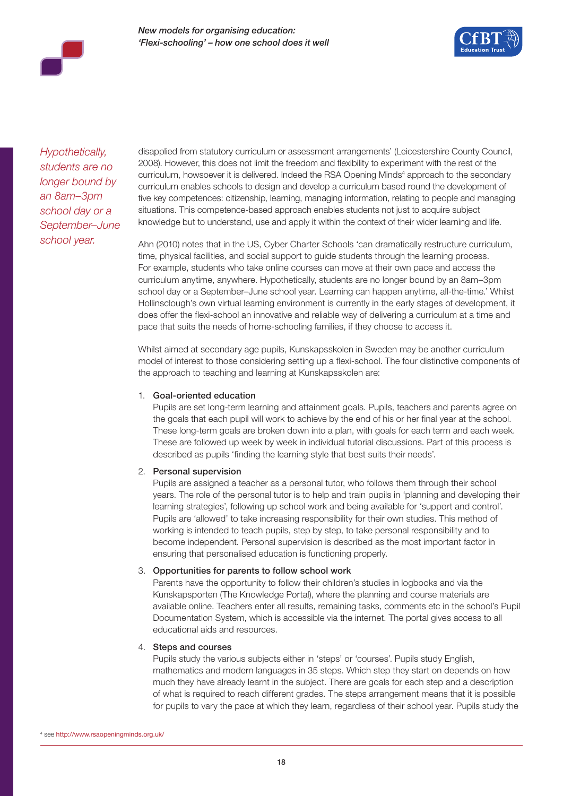



*Hypothetically, students are no longer bound by an 8am–3pm school day or a September–June school year.*

disapplied from statutory curriculum or assessment arrangements' (Leicestershire County Council, 2008). However, this does not limit the freedom and flexibility to experiment with the rest of the curriculum, howsoever it is delivered. Indeed the RSA Opening Minds<sup>4</sup> approach to the secondary curriculum enables schools to design and develop a curriculum based round the development of five key competences: citizenship, learning, managing information, relating to people and managing situations. This competence-based approach enables students not just to acquire subject knowledge but to understand, use and apply it within the context of their wider learning and life.

Ahn (2010) notes that in the US, Cyber Charter Schools 'can dramatically restructure curriculum, time, physical facilities, and social support to guide students through the learning process. For example, students who take online courses can move at their own pace and access the curriculum anytime, anywhere. Hypothetically, students are no longer bound by an 8am–3pm school day or a September–June school year. Learning can happen anytime, all-the-time.' Whilst Hollinsclough's own virtual learning environment is currently in the early stages of development, it does offer the flexi-school an innovative and reliable way of delivering a curriculum at a time and pace that suits the needs of home-schooling families, if they choose to access it.

Whilst aimed at secondary age pupils, Kunskapsskolen in Sweden may be another curriculum model of interest to those considering setting up a flexi-school. The four distinctive components of the approach to teaching and learning at Kunskapsskolen are:

#### 1. Goal-oriented education

Pupils are set long-term learning and attainment goals. Pupils, teachers and parents agree on the goals that each pupil will work to achieve by the end of his or her final year at the school. These long-term goals are broken down into a plan, with goals for each term and each week. These are followed up week by week in individual tutorial discussions. Part of this process is described as pupils 'finding the learning style that best suits their needs'.

### 2. Personal supervision

Pupils are assigned a teacher as a personal tutor, who follows them through their school years. The role of the personal tutor is to help and train pupils in 'planning and developing their learning strategies', following up school work and being available for 'support and control'. Pupils are 'allowed' to take increasing responsibility for their own studies. This method of working is intended to teach pupils, step by step, to take personal responsibility and to become independent. Personal supervision is described as the most important factor in ensuring that personalised education is functioning properly.

### 3. Opportunities for parents to follow school work

Parents have the opportunity to follow their children's studies in logbooks and via the Kunskapsporten (The Knowledge Portal), where the planning and course materials are available online. Teachers enter all results, remaining tasks, comments etc in the school's Pupil Documentation System, which is accessible via the internet. The portal gives access to all educational aids and resources.

#### 4. Steps and courses

Pupils study the various subjects either in 'steps' or 'courses'. Pupils study English, mathematics and modern languages in 35 steps. Which step they start on depends on how much they have already learnt in the subject. There are goals for each step and a description of what is required to reach different grades. The steps arrangement means that it is possible for pupils to vary the pace at which they learn, regardless of their school year. Pupils study the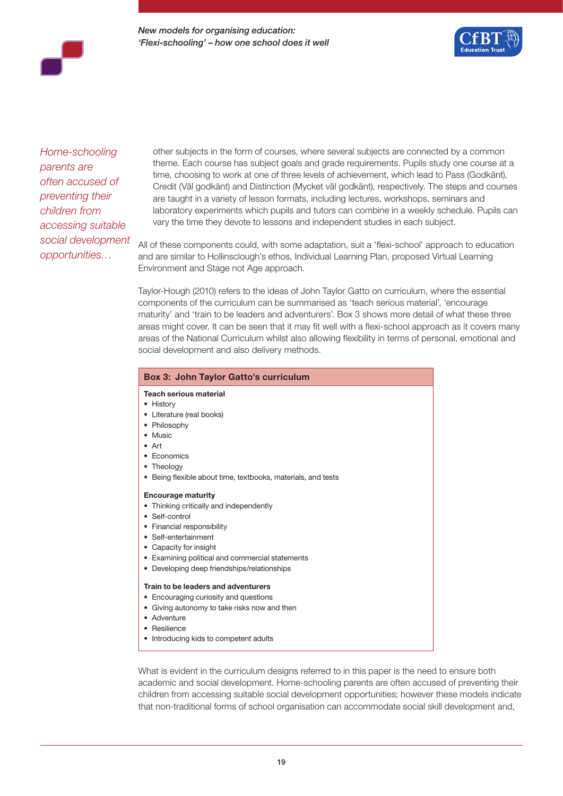



*Home-schooling parents are often accused of preventing their children from accessing suitable social development opportunities…*

other subjects in the form of courses, where several subjects are connected by a common theme. Each course has subject goals and grade requirements. Pupils study one course at a time, choosing to work at one of three levels of achievement, which lead to Pass (Godkänt), Credit (Väl godkänt) and Distinction (Mycket väl godkänt), respectively. The steps and courses are taught in a variety of lesson formats, including lectures, workshops, seminars and laboratory experiments which pupils and tutors can combine in a weekly schedule. Pupils can vary the time they devote to lessons and independent studies in each subject.

All of these components could, with some adaptation, suit a 'flexi-school' approach to education and are similar to Hollinsclough's ethos, Individual Learning Plan, proposed Virtual Learning Environment and Stage not Age approach.

Taylor-Hough (2010) refers to the ideas of John Taylor Gatto on curriculum, where the essential components of the curriculum can be summarised as 'teach serious material', 'encourage maturity' and 'train to be leaders and adventurers'. Box 3 shows more detail of what these three areas might cover. It can be seen that it may fit well with a flexi-school approach as it covers many areas of the National Curriculum whilst also allowing flexibility in terms of personal, emotional and social development and also delivery methods.

#### **Box 3: John Taylor Gatto's curriculum**

#### **Teach serious material**

- History
- Literature (real books)
- Philosophy
- Music
- Art
- Economics
- Theology
- Being flexible about time, textbooks, materials, and tests

#### **Encourage maturity**

- Thinking critically and independently
- Self-control
- Financial responsibility
- Self-entertainment
- Capacity for insight
- Examining political and commercial statements
- Developing deep friendships/relationships

#### **Train to be leaders and adventurers**

- Encouraging curiosity and questions
- Giving autonomy to take risks now and then
- Adventure
- Resilience
- Introducing kids to competent adults

What is evident in the curriculum designs referred to in this paper is the need to ensure both academic and social development. Home-schooling parents are often accused of preventing their children from accessing suitable social development opportunities; however these models indicate that non-traditional forms of school organisation can accommodate social skill development and,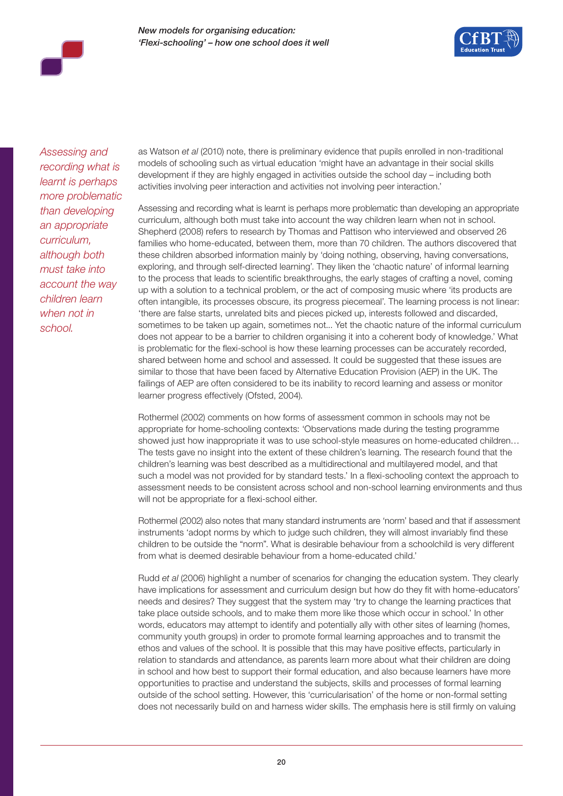



*Assessing and recording what is learnt is perhaps more problematic than developing an appropriate curriculum, although both must take into account the way children learn when not in school.* 

as Watson *et al* (2010) note, there is preliminary evidence that pupils enrolled in non-traditional models of schooling such as virtual education 'might have an advantage in their social skills development if they are highly engaged in activities outside the school day – including both activities involving peer interaction and activities not involving peer interaction.'

Assessing and recording what is learnt is perhaps more problematic than developing an appropriate curriculum, although both must take into account the way children learn when not in school. Shepherd (2008) refers to research by Thomas and Pattison who interviewed and observed 26 families who home-educated, between them, more than 70 children. The authors discovered that these children absorbed information mainly by 'doing nothing, observing, having conversations, exploring, and through self-directed learning'. They liken the 'chaotic nature' of informal learning to the process that leads to scientific breakthroughs, the early stages of crafting a novel, coming up with a solution to a technical problem, or the act of composing music where 'its products are often intangible, its processes obscure, its progress piecemeal'. The learning process is not linear: 'there are false starts, unrelated bits and pieces picked up, interests followed and discarded, sometimes to be taken up again, sometimes not... Yet the chaotic nature of the informal curriculum does not appear to be a barrier to children organising it into a coherent body of knowledge.' What is problematic for the flexi-school is how these learning processes can be accurately recorded, shared between home and school and assessed. It could be suggested that these issues are similar to those that have been faced by Alternative Education Provision (AEP) in the UK. The failings of AEP are often considered to be its inability to record learning and assess or monitor learner progress effectively (Ofsted, 2004).

Rothermel (2002) comments on how forms of assessment common in schools may not be appropriate for home-schooling contexts: 'Observations made during the testing programme showed just how inappropriate it was to use school-style measures on home-educated children… The tests gave no insight into the extent of these children's learning. The research found that the children's learning was best described as a multidirectional and multilayered model, and that such a model was not provided for by standard tests.' In a flexi-schooling context the approach to assessment needs to be consistent across school and non-school learning environments and thus will not be appropriate for a flexi-school either.

Rothermel (2002) also notes that many standard instruments are 'norm' based and that if assessment instruments 'adopt norms by which to judge such children, they will almost invariably find these children to be outside the "norm". What is desirable behaviour from a schoolchild is very different from what is deemed desirable behaviour from a home-educated child.'

Rudd *et al* (2006) highlight a number of scenarios for changing the education system. They clearly have implications for assessment and curriculum design but how do they fit with home-educators' needs and desires? They suggest that the system may 'try to change the learning practices that take place outside schools, and to make them more like those which occur in school.' In other words, educators may attempt to identify and potentially ally with other sites of learning (homes, community youth groups) in order to promote formal learning approaches and to transmit the ethos and values of the school. It is possible that this may have positive effects, particularly in relation to standards and attendance, as parents learn more about what their children are doing in school and how best to support their formal education, and also because learners have more opportunities to practise and understand the subjects, skills and processes of formal learning outside of the school setting. However, this 'curricularisation' of the home or non-formal setting does not necessarily build on and harness wider skills. The emphasis here is still firmly on valuing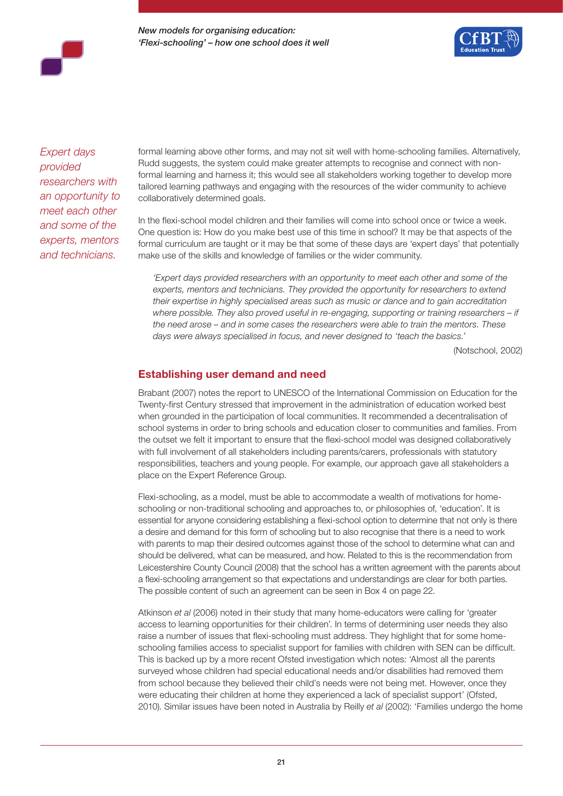



*Expert days provided researchers with an opportunity to meet each other and some of the experts, mentors and technicians.* 

formal learning above other forms, and may not sit well with home-schooling families. Alternatively, Rudd suggests, the system could make greater attempts to recognise and connect with nonformal learning and harness it; this would see all stakeholders working together to develop more tailored learning pathways and engaging with the resources of the wider community to achieve collaboratively determined goals.

In the flexi-school model children and their families will come into school once or twice a week. One question is: How do you make best use of this time in school? It may be that aspects of the formal curriculum are taught or it may be that some of these days are 'expert days' that potentially make use of the skills and knowledge of families or the wider community.

*'Expert days provided researchers with an opportunity to meet each other and some of the experts, mentors and technicians. They provided the opportunity for researchers to extend their expertise in highly specialised areas such as music or dance and to gain accreditation where possible. They also proved useful in re-engaging, supporting or training researchers – if the need arose – and in some cases the researchers were able to train the mentors. These days were always specialised in focus, and never designed to 'teach the basics.'*

(Notschool, 2002)

### **Establishing user demand and need**

Brabant (2007) notes the report to UNESCO of the International Commission on Education for the Twenty-first Century stressed that improvement in the administration of education worked best when grounded in the participation of local communities. It recommended a decentralisation of school systems in order to bring schools and education closer to communities and families. From the outset we felt it important to ensure that the flexi-school model was designed collaboratively with full involvement of all stakeholders including parents/carers, professionals with statutory responsibilities, teachers and young people. For example, our approach gave all stakeholders a place on the Expert Reference Group.

Flexi-schooling, as a model, must be able to accommodate a wealth of motivations for homeschooling or non-traditional schooling and approaches to, or philosophies of, 'education'. It is essential for anyone considering establishing a flexi-school option to determine that not only is there a desire and demand for this form of schooling but to also recognise that there is a need to work with parents to map their desired outcomes against those of the school to determine what can and should be delivered, what can be measured, and how. Related to this is the recommendation from Leicestershire County Council (2008) that the school has a written agreement with the parents about a flexi-schooling arrangement so that expectations and understandings are clear for both parties. The possible content of such an agreement can be seen in Box 4 on page 22.

Atkinson *et al* (2006) noted in their study that many home-educators were calling for 'greater access to learning opportunities for their children'. In terms of determining user needs they also raise a number of issues that flexi-schooling must address. They highlight that for some homeschooling families access to specialist support for families with children with SEN can be difficult. This is backed up by a more recent Ofsted investigation which notes: 'Almost all the parents surveyed whose children had special educational needs and/or disabilities had removed them from school because they believed their child's needs were not being met. However, once they were educating their children at home they experienced a lack of specialist support' (Ofsted, 2010). Similar issues have been noted in Australia by Reilly *et al* (2002): 'Families undergo the home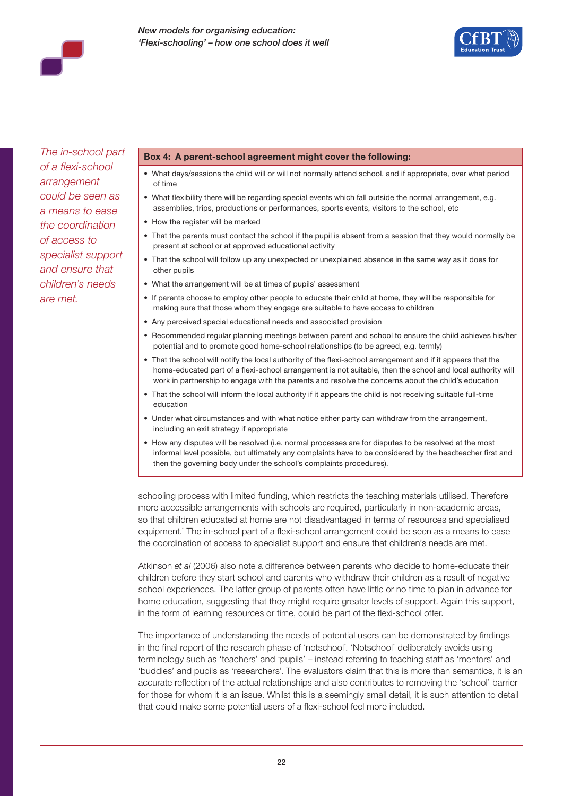



*The in-school part of a flexi-school arrangement could be seen as a means to ease the coordination of access to specialist support and ensure that children's needs are met.* 

#### **Box 4: A parent-school agreement might cover the following:**

- What days/sessions the child will or will not normally attend school, and if appropriate, over what period of time
- What flexibility there will be regarding special events which fall outside the normal arrangement, e.g. assemblies, trips, productions or performances, sports events, visitors to the school, etc
- How the register will be marked
- That the parents must contact the school if the pupil is absent from a session that they would normally be present at school or at approved educational activity
- That the school will follow up any unexpected or unexplained absence in the same way as it does for other pupils
- What the arrangement will be at times of pupils' assessment
- If parents choose to employ other people to educate their child at home, they will be responsible for making sure that those whom they engage are suitable to have access to children
- Any perceived special educational needs and associated provision
- Recommended regular planning meetings between parent and school to ensure the child achieves his/her potential and to promote good home-school relationships (to be agreed, e.g. termly)
- That the school will notify the local authority of the flexi-school arrangement and if it appears that the home-educated part of a flexi-school arrangement is not suitable, then the school and local authority will work in partnership to engage with the parents and resolve the concerns about the child's education
- That the school will inform the local authority if it appears the child is not receiving suitable full-time education
- Under what circumstances and with what notice either party can withdraw from the arrangement, including an exit strategy if appropriate
- How any disputes will be resolved (i.e. normal processes are for disputes to be resolved at the most informal level possible, but ultimately any complaints have to be considered by the headteacher first and then the governing body under the school's complaints procedures).

schooling process with limited funding, which restricts the teaching materials utilised. Therefore more accessible arrangements with schools are required, particularly in non-academic areas, so that children educated at home are not disadvantaged in terms of resources and specialised equipment.' The in-school part of a flexi-school arrangement could be seen as a means to ease the coordination of access to specialist support and ensure that children's needs are met.

Atkinson *et al* (2006) also note a difference between parents who decide to home-educate their children before they start school and parents who withdraw their children as a result of negative school experiences. The latter group of parents often have little or no time to plan in advance for home education, suggesting that they might require greater levels of support. Again this support, in the form of learning resources or time, could be part of the flexi-school offer.

The importance of understanding the needs of potential users can be demonstrated by findings in the final report of the research phase of 'notschool'. 'Notschool' deliberately avoids using terminology such as 'teachers' and 'pupils' – instead referring to teaching staff as 'mentors' and 'buddies' and pupils as 'researchers'. The evaluators claim that this is more than semantics, it is an accurate reflection of the actual relationships and also contributes to removing the 'school' barrier for those for whom it is an issue. Whilst this is a seemingly small detail, it is such attention to detail that could make some potential users of a flexi-school feel more included.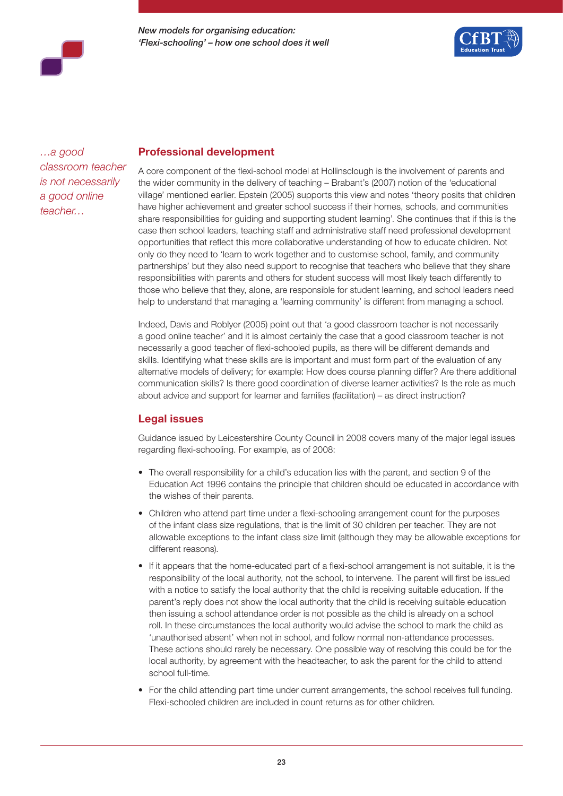



*…a good classroom teacher is not necessarily a good online teacher…*

### **Professional development**

A core component of the flexi-school model at Hollinsclough is the involvement of parents and the wider community in the delivery of teaching – Brabant's (2007) notion of the 'educational village' mentioned earlier. Epstein (2005) supports this view and notes 'theory posits that children have higher achievement and greater school success if their homes, schools, and communities share responsibilities for guiding and supporting student learning'. She continues that if this is the case then school leaders, teaching staff and administrative staff need professional development opportunities that reflect this more collaborative understanding of how to educate children. Not only do they need to 'learn to work together and to customise school, family, and community partnerships' but they also need support to recognise that teachers who believe that they share responsibilities with parents and others for student success will most likely teach differently to those who believe that they, alone, are responsible for student learning, and school leaders need help to understand that managing a 'learning community' is different from managing a school.

Indeed, Davis and Roblyer (2005) point out that 'a good classroom teacher is not necessarily a good online teacher' and it is almost certainly the case that a good classroom teacher is not necessarily a good teacher of flexi-schooled pupils, as there will be different demands and skills. Identifying what these skills are is important and must form part of the evaluation of any alternative models of delivery; for example: How does course planning differ? Are there additional communication skills? Is there good coordination of diverse learner activities? Is the role as much about advice and support for learner and families (facilitation) – as direct instruction?

## **Legal issues**

Guidance issued by Leicestershire County Council in 2008 covers many of the major legal issues regarding flexi-schooling. For example, as of 2008:

- The overall responsibility for a child's education lies with the parent, and section 9 of the Education Act 1996 contains the principle that children should be educated in accordance with the wishes of their parents.
- Children who attend part time under a flexi-schooling arrangement count for the purposes of the infant class size regulations, that is the limit of 30 children per teacher. They are not allowable exceptions to the infant class size limit (although they may be allowable exceptions for different reasons).
- If it appears that the home-educated part of a flexi-school arrangement is not suitable, it is the responsibility of the local authority, not the school, to intervene. The parent will first be issued with a notice to satisfy the local authority that the child is receiving suitable education. If the parent's reply does not show the local authority that the child is receiving suitable education then issuing a school attendance order is not possible as the child is already on a school roll. In these circumstances the local authority would advise the school to mark the child as 'unauthorised absent' when not in school, and follow normal non-attendance processes. These actions should rarely be necessary. One possible way of resolving this could be for the local authority, by agreement with the headteacher, to ask the parent for the child to attend school full-time.
- For the child attending part time under current arrangements, the school receives full funding. Flexi-schooled children are included in count returns as for other children.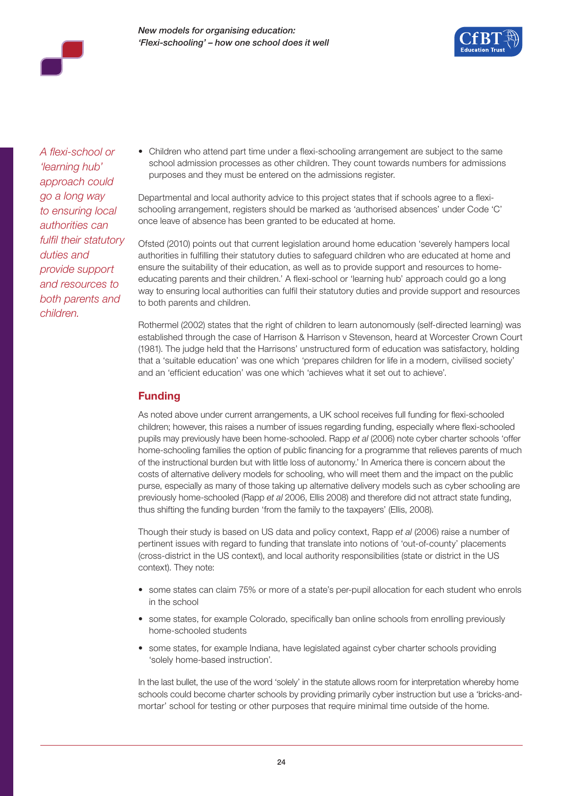



*A flexi-school or 'learning hub' approach could go a long way to ensuring local authorities can fulfil their statutory duties and provide support and resources to both parents and children.*

• Children who attend part time under a flexi-schooling arrangement are subject to the same school admission processes as other children. They count towards numbers for admissions purposes and they must be entered on the admissions register.

Departmental and local authority advice to this project states that if schools agree to a flexischooling arrangement, registers should be marked as 'authorised absences' under Code 'C' once leave of absence has been granted to be educated at home.

Ofsted (2010) points out that current legislation around home education 'severely hampers local authorities in fulfilling their statutory duties to safeguard children who are educated at home and ensure the suitability of their education, as well as to provide support and resources to homeeducating parents and their children.' A flexi-school or 'learning hub' approach could go a long way to ensuring local authorities can fulfil their statutory duties and provide support and resources to both parents and children.

Rothermel (2002) states that the right of children to learn autonomously (self-directed learning) was established through the case of Harrison & Harrison v Stevenson, heard at Worcester Crown Court (1981). The judge held that the Harrisons' unstructured form of education was satisfactory, holding that a 'suitable education' was one which 'prepares children for life in a modern, civilised society' and an 'efficient education' was one which 'achieves what it set out to achieve'.

## **Funding**

As noted above under current arrangements, a UK school receives full funding for flexi-schooled children; however, this raises a number of issues regarding funding, especially where flexi-schooled pupils may previously have been home-schooled. Rapp *et al* (2006) note cyber charter schools 'offer home-schooling families the option of public financing for a programme that relieves parents of much of the instructional burden but with little loss of autonomy.' In America there is concern about the costs of alternative delivery models for schooling, who will meet them and the impact on the public purse, especially as many of those taking up alternative delivery models such as cyber schooling are previously home-schooled (Rapp *et al* 2006, Ellis 2008) and therefore did not attract state funding, thus shifting the funding burden 'from the family to the taxpayers' (Ellis, 2008).

Though their study is based on US data and policy context, Rapp *et al* (2006) raise a number of pertinent issues with regard to funding that translate into notions of 'out-of-county' placements (cross-district in the US context), and local authority responsibilities (state or district in the US context). They note:

- some states can claim 75% or more of a state's per-pupil allocation for each student who enrols in the school
- some states, for example Colorado, specifically ban online schools from enrolling previously home-schooled students
- some states, for example Indiana, have legislated against cyber charter schools providing 'solely home-based instruction'.

In the last bullet, the use of the word 'solely' in the statute allows room for interpretation whereby home schools could become charter schools by providing primarily cyber instruction but use a 'bricks-andmortar' school for testing or other purposes that require minimal time outside of the home.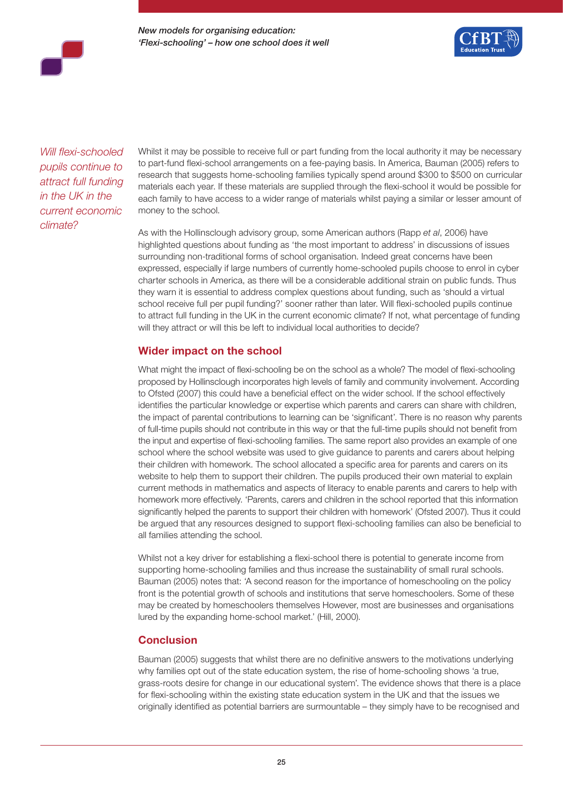



Whilst it may be possible to receive full or part funding from the local authority it may be necessary to part-fund flexi-school arrangements on a fee-paying basis. In America, Bauman (2005) refers to research that suggests home-schooling families typically spend around \$300 to \$500 on curricular materials each year. If these materials are supplied through the flexi-school it would be possible for each family to have access to a wider range of materials whilst paying a similar or lesser amount of money to the school.

As with the Hollinsclough advisory group, some American authors (Rapp *et al*, 2006) have highlighted questions about funding as 'the most important to address' in discussions of issues surrounding non-traditional forms of school organisation. Indeed great concerns have been expressed, especially if large numbers of currently home-schooled pupils choose to enrol in cyber charter schools in America, as there will be a considerable additional strain on public funds. Thus they warn it is essential to address complex questions about funding, such as 'should a virtual school receive full per pupil funding?' sooner rather than later. Will flexi-schooled pupils continue to attract full funding in the UK in the current economic climate? If not, what percentage of funding will they attract or will this be left to individual local authorities to decide?

### **Wider impact on the school**

What might the impact of flexi-schooling be on the school as a whole? The model of flexi-schooling proposed by Hollinsclough incorporates high levels of family and community involvement. According to Ofsted (2007) this could have a beneficial effect on the wider school. If the school effectively identifies the particular knowledge or expertise which parents and carers can share with children, the impact of parental contributions to learning can be 'significant'. There is no reason why parents of full-time pupils should not contribute in this way or that the full-time pupils should not benefit from the input and expertise of flexi-schooling families. The same report also provides an example of one school where the school website was used to give guidance to parents and carers about helping their children with homework. The school allocated a specific area for parents and carers on its website to help them to support their children. The pupils produced their own material to explain current methods in mathematics and aspects of literacy to enable parents and carers to help with homework more effectively. 'Parents, carers and children in the school reported that this information significantly helped the parents to support their children with homework' (Ofsted 2007). Thus it could be argued that any resources designed to support flexi-schooling families can also be beneficial to all families attending the school.

Whilst not a key driver for establishing a flexi-school there is potential to generate income from supporting home-schooling families and thus increase the sustainability of small rural schools. Bauman (2005) notes that: 'A second reason for the importance of homeschooling on the policy front is the potential growth of schools and institutions that serve homeschoolers. Some of these may be created by homeschoolers themselves However, most are businesses and organisations lured by the expanding home-school market.' (Hill, 2000).

## **Conclusion**

Bauman (2005) suggests that whilst there are no definitive answers to the motivations underlying why families opt out of the state education system, the rise of home-schooling shows 'a true, grass-roots desire for change in our educational system'. The evidence shows that there is a place for flexi-schooling within the existing state education system in the UK and that the issues we originally identified as potential barriers are surmountable – they simply have to be recognised and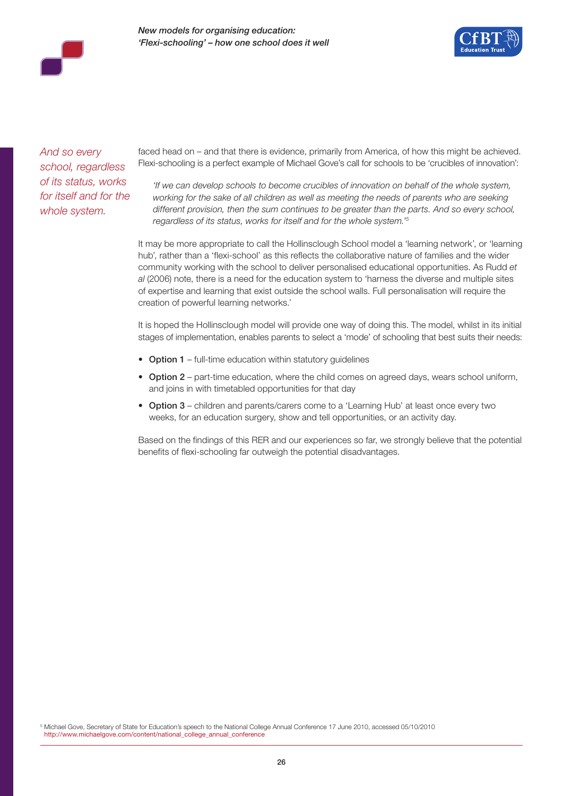



*And so every school, regardless of its status, works for itself and for the whole system.*

faced head on – and that there is evidence, primarily from America, of how this might be achieved. Flexi-schooling is a perfect example of Michael Gove's call for schools to be 'crucibles of innovation':

*'If we can develop schools to become crucibles of innovation on behalf of the whole system, working for the sake of all children as well as meeting the needs of parents who are seeking different provision, then the sum continues to be greater than the parts. And so every school, regardless of its status, works for itself and for the whole system.'5*

It may be more appropriate to call the Hollinsclough School model a 'learning network', or 'learning hub', rather than a 'flexi-school' as this reflects the collaborative nature of families and the wider community working with the school to deliver personalised educational opportunities. As Rudd *et al* (2006) note, there is a need for the education system to 'harness the diverse and multiple sites of expertise and learning that exist outside the school walls. Full personalisation will require the creation of powerful learning networks.'

It is hoped the Hollinsclough model will provide one way of doing this. The model, whilst in its initial stages of implementation, enables parents to select a 'mode' of schooling that best suits their needs:

- Option 1 full-time education within statutory guidelines
- Option 2 part-time education, where the child comes on agreed days, wears school uniform, and joins in with timetabled opportunities for that day
- Option 3 children and parents/carers come to a 'Learning Hub' at least once every two weeks, for an education surgery, show and tell opportunities, or an activity day.

Based on the findings of this RER and our experiences so far, we strongly believe that the potential benefits of flexi-schooling far outweigh the potential disadvantages.

5 Michael Gove, Secretary of State for Education's speech to the National College Annual Conference 17 June 2010, accessed 05/10/2010 http://www.michaelgove.com/content/national\_college\_annual\_conference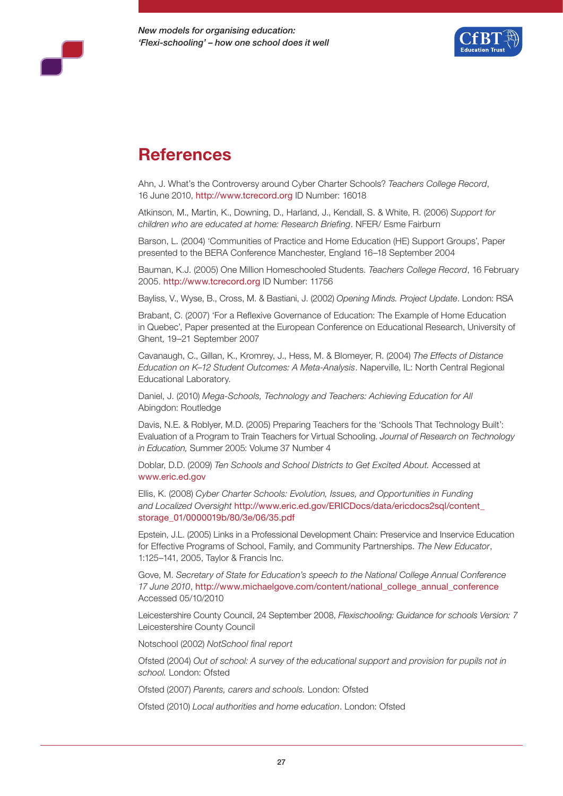



## **References**

Ahn, J. What's the Controversy around Cyber Charter Schools? *Teachers College Record*, 16 June 2010, http://www.tcrecord.org ID Number: 16018

Atkinson, M., Martin, K., Downing, D., Harland, J., Kendall, S. & White, R. (2006) *Support for children who are educated at home: Research Briefing*. NFER/ Esme Fairburn

Barson, L. (2004) 'Communities of Practice and Home Education (HE) Support Groups', Paper presented to the BERA Conference Manchester, England 16–18 September 2004

Bauman, K.J. (2005) One Million Homeschooled Students. *Teachers College Record*, 16 February 2005. http://www.tcrecord.org ID Number: 11756

Bayliss, V., Wyse, B., Cross, M. & Bastiani, J. (2002) *Opening Minds. Project Update*. London: RSA

Brabant, C. (2007) 'For a Reflexive Governance of Education: The Example of Home Education in Quebec', Paper presented at the European Conference on Educational Research, University of Ghent, 19–21 September 2007

Cavanaugh, C., Gillan, K., Kromrey, J., Hess, M. & Blomeyer, R. (2004) *The Effects of Distance Education on K–12 Student Outcomes: A Meta-Analysis*. Naperville, IL: North Central Regional Educational Laboratory.

Daniel, J. (2010) *Mega-Schools, Technology and Teachers: Achieving Education for All*  Abingdon: Routledge

Davis, N.E. & Roblyer, M.D. (2005) Preparing Teachers for the 'Schools That Technology Built': Evaluation of a Program to Train Teachers for Virtual Schooling. *Journal of Research on Technology in Education,* Summer 2005: Volume 37 Number 4

Doblar, D.D. (2009) *Ten Schools and School Districts to Get Excited About.* Accessed at www.eric.ed.gov

Ellis, K. (2008) *Cyber Charter Schools: Evolution, Issues, and Opportunities in Funding and Localized Oversight* http://www.eric.ed.gov/ERICDocs/data/ericdocs2sql/content\_ storage\_01/0000019b/80/3e/06/35.pdf

Epstein, J.L. (2005) Links in a Professional Development Chain: Preservice and Inservice Education for Effective Programs of School, Family, and Community Partnerships. *The New Educator*, 1:125–141, 2005, Taylor & Francis Inc.

Gove, M. *Secretary of State for Education's speech to the National College Annual Conference 17 June 2010*, http://www.michaelgove.com/content/national\_college\_annual\_conference Accessed 05/10/2010

Leicestershire County Council, 24 September 2008, *Flexischooling: Guidance for schools Version: 7* Leicestershire County Council

Notschool (2002) *NotSchool final report*

Ofsted (2004) *Out of school: A survey of the educational support and provision for pupils not in school.* London: Ofsted

Ofsted (2007) *Parents, carers and schools.* London: Ofsted

Ofsted (2010) *Local authorities and home education*. London: Ofsted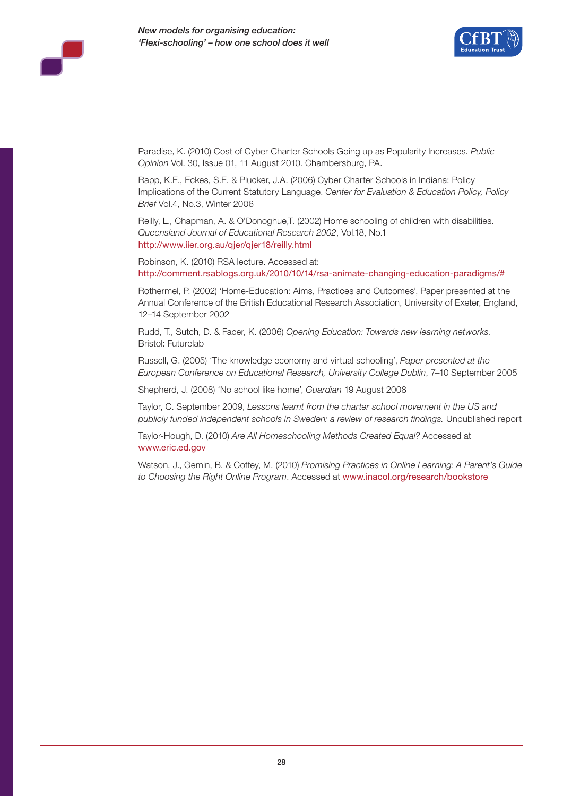



Paradise, K. (2010) Cost of Cyber Charter Schools Going up as Popularity Increases. *Public Opinion* Vol. 30, Issue 01, 11 August 2010. Chambersburg, PA.

Rapp, K.E., Eckes, S.E. & Plucker, J.A. (2006) Cyber Charter Schools in Indiana: Policy Implications of the Current Statutory Language. *Center for Evaluation & Education Policy, Policy Brief* Vol.4, No.3, Winter 2006

Reilly, L., Chapman, A. & O'Donoghue,T. (2002) Home schooling of children with disabilities. *Queensland Journal of Educational Research 2002*, Vol.18, No.1 http://www.iier.org.au/qjer/qjer18/reilly.html

Robinson, K. (2010) RSA lecture. Accessed at: http://comment.rsablogs.org.uk/2010/10/14/rsa-animate-changing-education-paradigms/#

Rothermel, P. (2002) 'Home-Education: Aims, Practices and Outcomes', Paper presented at the Annual Conference of the British Educational Research Association, University of Exeter, England, 12–14 September 2002

Rudd, T., Sutch, D. & Facer, K. (2006) *Opening Education: Towards new learning networks.* Bristol: Futurelab

Russell, G. (2005) 'The knowledge economy and virtual schooling', *Paper presented at the European Conference on Educational Research, University College Dublin*, 7–10 September 2005

Shepherd, J. (2008) 'No school like home', *Guardian* 19 August 2008

Taylor, C. September 2009, *Lessons learnt from the charter school movement in the US and publicly funded independent schools in Sweden: a review of research findings.* Unpublished report

Taylor-Hough, D. (2010) *Are All Homeschooling Methods Created Equal?* Accessed at www.eric.ed.gov

Watson, J., Gemin, B. & Coffey, M. (2010) *Promising Practices in Online Learning: A Parent's Guide to Choosing the Right Online Program*. Accessed at www.inacol.org/research/bookstore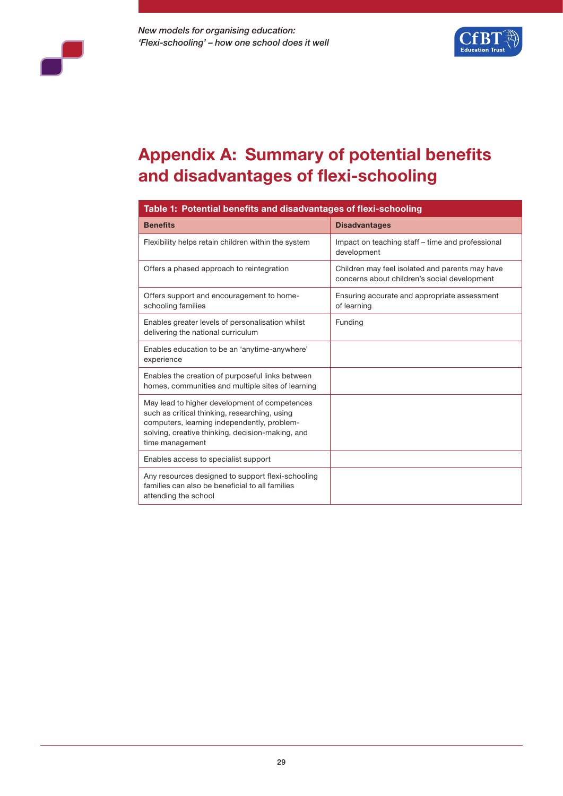



# **Appendix A: Summary of potential benefits and disadvantages of flexi-schooling**

| Table 1: Potential benefits and disadvantages of flexi-schooling                                                                                                                                                     |                                                                                                 |  |  |  |  |  |  |  |
|----------------------------------------------------------------------------------------------------------------------------------------------------------------------------------------------------------------------|-------------------------------------------------------------------------------------------------|--|--|--|--|--|--|--|
| <b>Benefits</b>                                                                                                                                                                                                      | <b>Disadvantages</b>                                                                            |  |  |  |  |  |  |  |
| Flexibility helps retain children within the system                                                                                                                                                                  | Impact on teaching staff – time and professional<br>development                                 |  |  |  |  |  |  |  |
| Offers a phased approach to reintegration                                                                                                                                                                            | Children may feel isolated and parents may have<br>concerns about children's social development |  |  |  |  |  |  |  |
| Offers support and encouragement to home-<br>schooling families                                                                                                                                                      | Ensuring accurate and appropriate assessment<br>of learning                                     |  |  |  |  |  |  |  |
| Enables greater levels of personalisation whilst<br>delivering the national curriculum                                                                                                                               | Funding                                                                                         |  |  |  |  |  |  |  |
| Enables education to be an 'anytime-anywhere'<br>experience                                                                                                                                                          |                                                                                                 |  |  |  |  |  |  |  |
| Enables the creation of purposeful links between<br>homes, communities and multiple sites of learning                                                                                                                |                                                                                                 |  |  |  |  |  |  |  |
| May lead to higher development of competences<br>such as critical thinking, researching, using<br>computers, learning independently, problem-<br>solving, creative thinking, decision-making, and<br>time management |                                                                                                 |  |  |  |  |  |  |  |
| Enables access to specialist support                                                                                                                                                                                 |                                                                                                 |  |  |  |  |  |  |  |
| Any resources designed to support flexi-schooling<br>families can also be beneficial to all families<br>attending the school                                                                                         |                                                                                                 |  |  |  |  |  |  |  |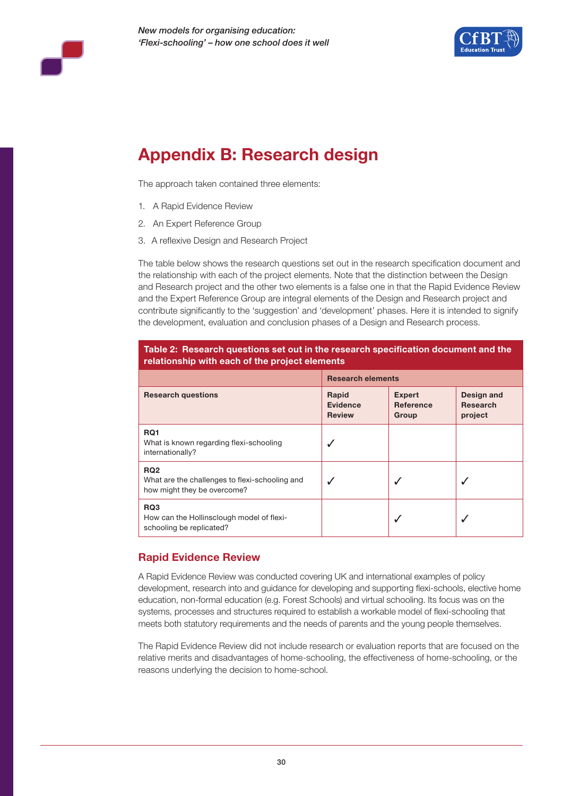



## **Appendix B: Research design**

The approach taken contained three elements:

- 1. A Rapid Evidence Review
- 2. An Expert Reference Group
- 3. A reflexive Design and Research Project

The table below shows the research questions set out in the research specification document and the relationship with each of the project elements. Note that the distinction between the Design and Research project and the other two elements is a false one in that the Rapid Evidence Review and the Expert Reference Group are integral elements of the Design and Research project and contribute significantly to the 'suggestion' and 'development' phases. Here it is intended to signify the development, evaluation and conclusion phases of a Design and Research process.

#### **Table 2: Research questions set out in the research specification document and the relationship with each of the project elements**

|                                                                                             | <b>Research elements</b>           |                                            |                                          |  |  |  |  |
|---------------------------------------------------------------------------------------------|------------------------------------|--------------------------------------------|------------------------------------------|--|--|--|--|
| <b>Research questions</b>                                                                   | Rapid<br>Evidence<br><b>Review</b> | <b>Expert</b><br><b>Reference</b><br>Group | Design and<br><b>Research</b><br>project |  |  |  |  |
| <b>RQ1</b><br>What is known regarding flexi-schooling<br>internationally?                   |                                    |                                            |                                          |  |  |  |  |
| <b>RQ2</b><br>What are the challenges to flexi-schooling and<br>how might they be overcome? |                                    |                                            |                                          |  |  |  |  |
| RQ3<br>How can the Hollinsclough model of flexi-<br>schooling be replicated?                |                                    |                                            |                                          |  |  |  |  |

## **Rapid Evidence Review**

A Rapid Evidence Review was conducted covering UK and international examples of policy development, research into and guidance for developing and supporting flexi-schools, elective home education, non-formal education (e.g. Forest Schools) and virtual schooling. Its focus was on the systems, processes and structures required to establish a workable model of flexi-schooling that meets both statutory requirements and the needs of parents and the young people themselves.

The Rapid Evidence Review did not include research or evaluation reports that are focused on the relative merits and disadvantages of home-schooling, the effectiveness of home-schooling, or the reasons underlying the decision to home-school.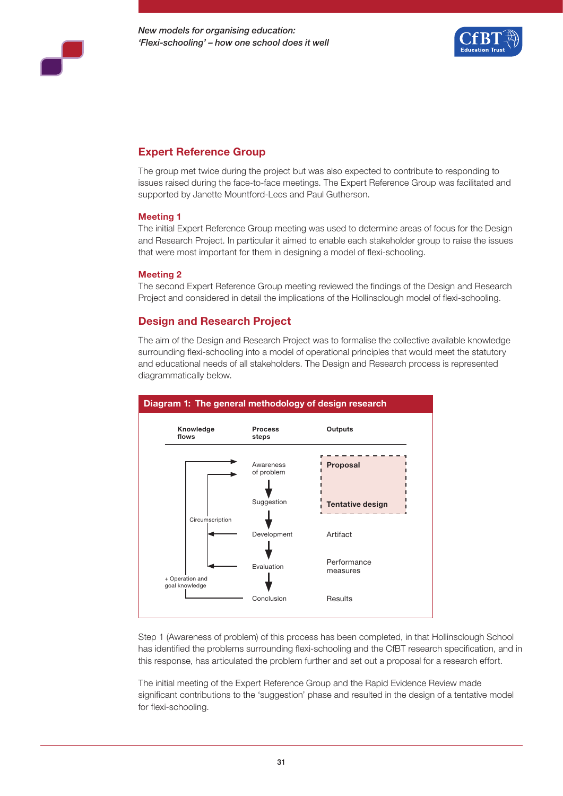



## **Expert Reference Group**

The group met twice during the project but was also expected to contribute to responding to issues raised during the face-to-face meetings. The Expert Reference Group was facilitated and supported by Janette Mountford-Lees and Paul Gutherson.

#### **Meeting 1**

The initial Expert Reference Group meeting was used to determine areas of focus for the Design and Research Project. In particular it aimed to enable each stakeholder group to raise the issues that were most important for them in designing a model of flexi-schooling.

#### **Meeting 2**

The second Expert Reference Group meeting reviewed the findings of the Design and Research Project and considered in detail the implications of the Hollinsclough model of flexi-schooling.

### **Design and Research Project**

The aim of the Design and Research Project was to formalise the collective available knowledge surrounding flexi-schooling into a model of operational principles that would meet the statutory and educational needs of all stakeholders. The Design and Research process is represented diagrammatically below.



Step 1 (Awareness of problem) of this process has been completed, in that Hollinsclough School has identified the problems surrounding flexi-schooling and the CfBT research specification, and in this response, has articulated the problem further and set out a proposal for a research effort.

The initial meeting of the Expert Reference Group and the Rapid Evidence Review made significant contributions to the 'suggestion' phase and resulted in the design of a tentative model for flexi-schooling.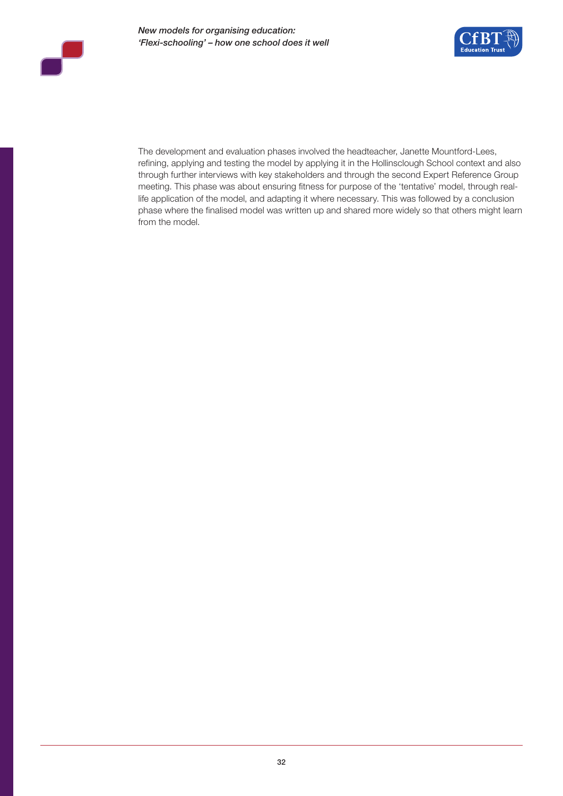



The development and evaluation phases involved the headteacher, Janette Mountford-Lees, refining, applying and testing the model by applying it in the Hollinsclough School context and also through further interviews with key stakeholders and through the second Expert Reference Group meeting. This phase was about ensuring fitness for purpose of the 'tentative' model, through reallife application of the model, and adapting it where necessary. This was followed by a conclusion phase where the finalised model was written up and shared more widely so that others might learn from the model.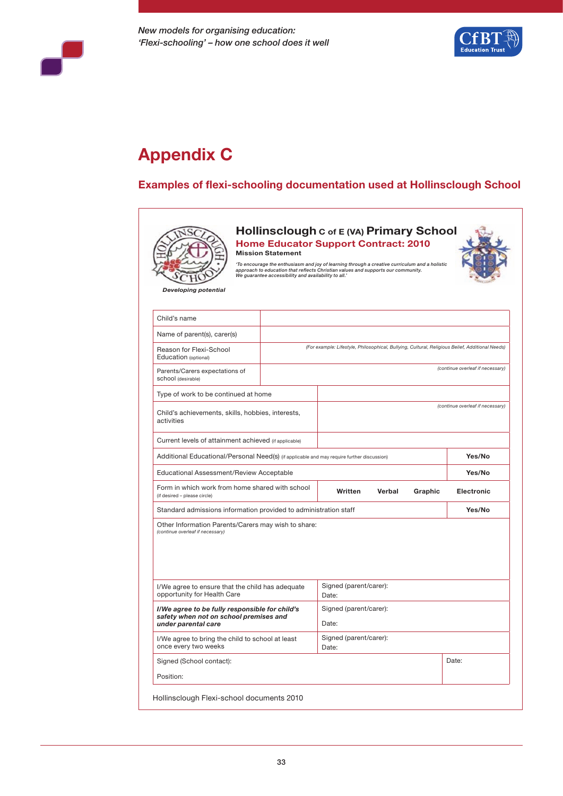



# **Appendix C**

## **Examples of flexi-schooling documentation used at Hollinsclough School**



**Hollinsclough C of E (VA) Primary School Home Educator Support Contract: 2010 Mission Statement**

'To encourage the enthusiasm and joy of learning through a creative curriculum and a holistic<br>approach to education that reflects Christian values and supports our community.<br>We guarantee accessibility and availability to



*Developing potential*

| Name of parent(s), carer(s)                                                                                                                                                                                                                                                                   |  |                                                                                                 |        |                                  |                                  |  |  |
|-----------------------------------------------------------------------------------------------------------------------------------------------------------------------------------------------------------------------------------------------------------------------------------------------|--|-------------------------------------------------------------------------------------------------|--------|----------------------------------|----------------------------------|--|--|
| Reason for Flexi-School<br>Education (optional)                                                                                                                                                                                                                                               |  | (For example: Lifestyle, Philosophical, Bullying, Cultural, Religious Belief, Additional Needs) |        |                                  |                                  |  |  |
| Parents/Carers expectations of<br>school (desirable)                                                                                                                                                                                                                                          |  |                                                                                                 |        |                                  | (continue overleaf if necessary) |  |  |
| Type of work to be continued at home                                                                                                                                                                                                                                                          |  |                                                                                                 |        |                                  |                                  |  |  |
| Child's achievements, skills, hobbies, interests,<br>activities                                                                                                                                                                                                                               |  |                                                                                                 |        | (continue overleaf if necessary) |                                  |  |  |
| Current levels of attainment achieved (if applicable)                                                                                                                                                                                                                                         |  |                                                                                                 |        |                                  |                                  |  |  |
| Additional Educational/Personal Need(s) (if applicable and may require further discussion)                                                                                                                                                                                                    |  |                                                                                                 |        |                                  | Yes/No                           |  |  |
| Educational Assessment/Review Acceptable                                                                                                                                                                                                                                                      |  |                                                                                                 |        |                                  | Yes/No                           |  |  |
| Form in which work from home shared with school<br>(if desired - please circle)                                                                                                                                                                                                               |  | Written                                                                                         | Verbal | Graphic                          | <b>Electronic</b>                |  |  |
|                                                                                                                                                                                                                                                                                               |  |                                                                                                 |        |                                  |                                  |  |  |
| Standard admissions information provided to administration staff                                                                                                                                                                                                                              |  |                                                                                                 |        |                                  | Yes/No                           |  |  |
|                                                                                                                                                                                                                                                                                               |  |                                                                                                 |        |                                  |                                  |  |  |
|                                                                                                                                                                                                                                                                                               |  | Signed (parent/carer):<br>Date:                                                                 |        |                                  |                                  |  |  |
| Other Information Parents/Carers may wish to share:<br>(continue overleaf if necessary)<br>I/We agree to ensure that the child has adequate<br>opportunity for Health Care<br>I/We agree to be fully responsible for child's<br>safety when not on school premises and<br>under parental care |  | Signed (parent/carer):<br>Date:                                                                 |        |                                  |                                  |  |  |
|                                                                                                                                                                                                                                                                                               |  | Signed (parent/carer):<br>Date:                                                                 |        |                                  |                                  |  |  |
| I/We agree to bring the child to school at least<br>once every two weeks<br>Signed (School contact):                                                                                                                                                                                          |  |                                                                                                 |        |                                  | Date:                            |  |  |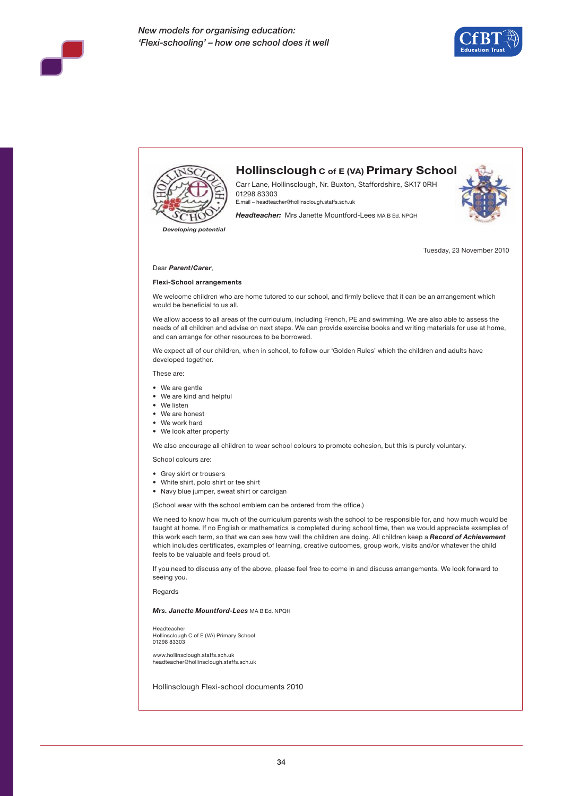





### **Hollinsclough C of E (VA) Primary School**

Carr Lane, Hollinsclough, Nr. Buxton, Staffordshire, SK17 0RH 01298 83303 E.mail – headteacher@hollinsclough.staffs.sch.uk

*Headteacher:* Mrs Janette Mountford-Lees MA B Ed. NPQH



Tuesday, 23 November 2010

Dear *Parent/Carer*,

#### **Flexi-School arrangements**

We welcome children who are home tutored to our school, and firmly believe that it can be an arrangement which would be beneficial to us all.

We allow access to all areas of the curriculum, including French, PE and swimming. We are also able to assess the needs of all children and advise on next steps. We can provide exercise books and writing materials for use at home, and can arrange for other resources to be borrowed.

We expect all of our children, when in school, to follow our 'Golden Rules' which the children and adults have developed together.

#### These are:

- We are gentle
- We are kind and helpful
- We listen
- We are honest
- We work hard
- We look after property

We also encourage all children to wear school colours to promote cohesion, but this is purely voluntary.

#### School colours are:

- Grey skirt or trousers
- White shirt, polo shirt or tee shirt
- Navy blue jumper, sweat shirt or cardigan

(School wear with the school emblem can be ordered from the office.)

We need to know how much of the curriculum parents wish the school to be responsible for, and how much would be taught at home. If no English or mathematics is completed during school time, then we would appreciate examples of this work each term, so that we can see how well the children are doing. All children keep a *Record of Achievement* which includes certificates, examples of learning, creative outcomes, group work, visits and/or whatever the child feels to be valuable and feels proud of.

If you need to discuss any of the above, please feel free to come in and discuss arrangements. We look forward to seeing you.

Regards

*Mrs. Janette Mountford-Lees* MA B Ed. NPQH

```
Headteacher
Hollinsclough C of E (VA) Primary School
01298 83303
```
www.hollinsclough.staffs.sch.uk headteacher@hollinsclough.staffs.sch.uk

Hollinsclough Flexi-school documents 2010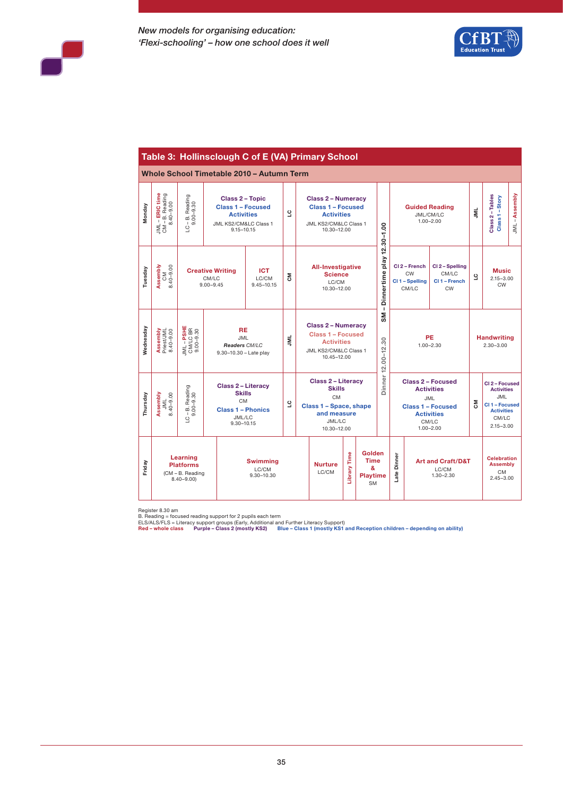

|                                                                                                                                                                                                                                                                                                              |                                                                                |                                                                                                             | Whole School Timetable 2010 - Autumn Term                                                                       |                                       |                         | Table 3: Hollinsclough C of E (VA) Primary School                                                                         |  |                                                              |                            |                                                                                                                                 |                                                        |                                                                 |                                                                                                                                          |                                            |              |
|--------------------------------------------------------------------------------------------------------------------------------------------------------------------------------------------------------------------------------------------------------------------------------------------------------------|--------------------------------------------------------------------------------|-------------------------------------------------------------------------------------------------------------|-----------------------------------------------------------------------------------------------------------------|---------------------------------------|-------------------------|---------------------------------------------------------------------------------------------------------------------------|--|--------------------------------------------------------------|----------------------------|---------------------------------------------------------------------------------------------------------------------------------|--------------------------------------------------------|-----------------------------------------------------------------|------------------------------------------------------------------------------------------------------------------------------------------|--------------------------------------------|--------------|
| Monday                                                                                                                                                                                                                                                                                                       | L – <b>ERIC time</b><br>4 – B. Reading<br>8.40–9.00<br>$rac{1}{5}$ $rac{1}{5}$ | $- B.$ Reading<br>$9.00 - 9.30$<br>$\overline{a}$                                                           | Class 2 - Topic<br><b>Class 1 - Focused</b><br><b>Activities</b><br>JML KS2/CM&LC Class 1<br>$9.15 - 10.15$     |                                       | 5                       | <b>Class 2 - Numeracy</b><br><b>Class 1 - Focused</b><br><b>Activities</b><br>JML KS2/CM&LC Class 1<br>10.30-12.00        |  |                                                              |                            | <b>Guided Reading</b><br>JML/CM/LC<br>$1.00 - 2.00$                                                                             |                                                        |                                                                 | $\overline{\mathbf{M}}$                                                                                                                  | Class 2 - Tables<br>Class 1 - Story        | JML-Assembly |
| Tuesday                                                                                                                                                                                                                                                                                                      | Assembly<br>CM<br>8.40-9.00                                                    |                                                                                                             | <b>Creative Writing</b><br>CM/LC<br>$9.00 - 9.45$                                                               | <b>ICT</b><br>LC/CM<br>$9.45 - 10.15$ | Σő                      | <b>All-Investigative</b><br><b>Science</b><br>LC/CM<br>10.30-12.00                                                        |  |                                                              | Dinnertime play 12.30-1.00 | CI <sub>2</sub> - French<br><b>CW</b><br>CI 1 - Spelling<br>CM/LC<br><b>CW</b>                                                  |                                                        | CI <sub>2</sub> - Spelling<br>CM/LC<br>CI <sub>1</sub> - French | 5                                                                                                                                        | <b>Music</b><br>$2.15 - 3.00$<br><b>CW</b> |              |
| Wednesday                                                                                                                                                                                                                                                                                                    | Assembly<br>Priest/JML<br>8.40-9.00                                            | JML – PSHE<br>CM/LC BR<br>9.00–9.30                                                                         | <b>RE</b><br><b>JML</b><br><b>Readers CM/LC</b><br>9.30-10.30 - Late play                                       |                                       | <b>M</b> L              | <b>Class 2 - Numeracy</b><br><b>Class 1 - Focused</b><br><b>Activities</b><br>JML KS2/CM&LC Class 1<br>10.45-12.00        |  | $\mathbf{I}$<br>$\overline{\text{SN}}$<br>Dinner 12.00-12.30 | PE<br>$1.00 - 2.30$        |                                                                                                                                 |                                                        | <b>Handwriting</b><br>$2.30 - 3.00$                             |                                                                                                                                          |                                            |              |
| Thursday                                                                                                                                                                                                                                                                                                     | Assembly<br>JML<br>$8.40 - 9.00$                                               | > - B. Reading<br>9.00-9.30<br>$\overline{a}$                                                               | <b>Class 2 - Literacy</b><br><b>Skills</b><br><b>CM</b><br><b>Class 1 - Phonics</b><br>JML/LC<br>$9.30 - 10.15$ |                                       | 5                       | <b>Class 2 - Literacy</b><br><b>Skills</b><br><b>CM</b><br>Class 1 - Space, shape<br>and measure<br>JML/LC<br>10.30-12.00 |  |                                                              |                            | <b>Class 2 - Focused</b><br><b>Activities</b><br>JML<br><b>Class 1 - Focused</b><br><b>Activities</b><br>CM/LC<br>$1.00 - 2.00$ |                                                        | 동                                                               | CI <sub>2</sub> - Focused<br><b>Activities</b><br><b>JML</b><br>CI <sub>1</sub> - Focused<br><b>Activities</b><br>CM/LC<br>$2.15 - 3.00$ |                                            |              |
| Friday                                                                                                                                                                                                                                                                                                       |                                                                                | Learning<br><b>Swimming</b><br><b>Platforms</b><br>LC/CM<br>(CM - B. Reading<br>9.30-10.30<br>$8.40 - 9.00$ |                                                                                                                 |                                       | <b>Nurture</b><br>LC/CM | Library Time                                                                                                              |  | Golden<br><b>Time</b><br>&<br><b>Playtime</b><br><b>SM</b>   | Dinner<br>Late             |                                                                                                                                 | <b>Art and Craft/D&amp;T</b><br>LC/CM<br>$1.30 - 2.30$ |                                                                 | <b>Celebration</b><br><b>Assembly</b><br><b>CM</b><br>$2.45 - 3.00$                                                                      |                                            |              |
| Register 8.30 am<br>B. Reading = focused reading support for 2 pupils each term<br>ELS/ALS/FLS = Literacy support groups (Early, Additional and Further Literacy Support)<br>Blue - Class 1 (mostly KS1 and Reception children - depending on ability)<br>Purple - Class 2 (mostly KS2)<br>Red - whole class |                                                                                |                                                                                                             |                                                                                                                 |                                       |                         |                                                                                                                           |  |                                                              |                            |                                                                                                                                 |                                                        |                                                                 |                                                                                                                                          |                                            |              |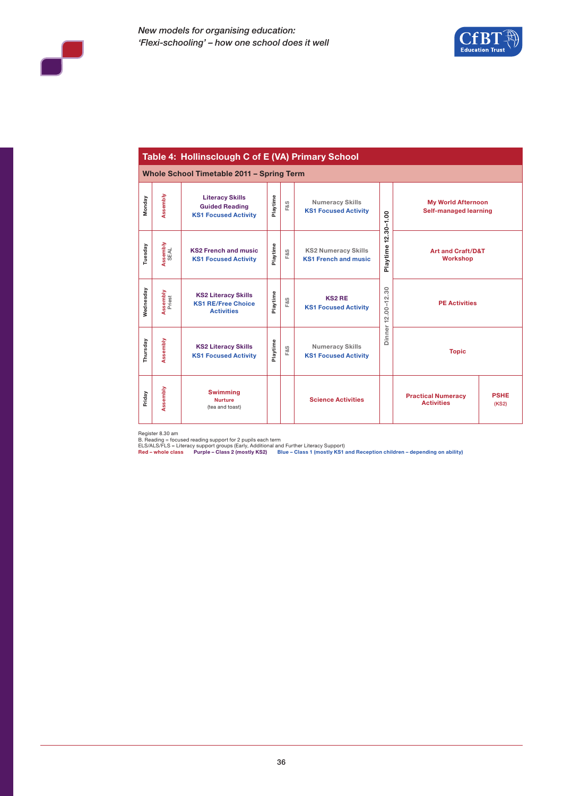

| Table 4: Hollinsclough C of E (VA) Primary School |                                                  |                                                                                |          |     |                                                           |                 |                                                                               |  |  |  |
|---------------------------------------------------|--------------------------------------------------|--------------------------------------------------------------------------------|----------|-----|-----------------------------------------------------------|-----------------|-------------------------------------------------------------------------------|--|--|--|
|                                                   | <b>Whole School Timetable 2011 - Spring Term</b> |                                                                                |          |     |                                                           |                 |                                                                               |  |  |  |
| Monday                                            | Assembly                                         | <b>Literacy Skills</b><br><b>Guided Reading</b><br><b>KS1 Focused Activity</b> | Playtime | F&S | <b>Numeracy Skills</b><br><b>KS1 Focused Activity</b>     | $12.30 - 1.00$  | <b>My World Afternoon</b><br><b>Self-managed learning</b>                     |  |  |  |
| Tuesday                                           | Assembly<br>SEAL                                 | <b>KS2 French and music</b><br><b>KS1 Focused Activity</b>                     | Playtime | F&S | <b>KS2 Numeracy Skills</b><br><b>KS1 French and music</b> | Playtime        | <b>Art and Craft/D&amp;T</b><br><b>Workshop</b>                               |  |  |  |
| Wednesday                                         | Assembly<br>Priest                               | <b>KS2 Literacy Skills</b><br><b>KS1 RE/Free Choice</b><br><b>Activities</b>   | Playtime | F&S | <b>KS2 RE</b><br><b>KS1 Focused Activity</b>              | $12.00 - 12.30$ | <b>PE Activities</b>                                                          |  |  |  |
| Thursday                                          | Assembly                                         | <b>KS2 Literacy Skills</b><br><b>KS1 Focused Activity</b>                      | Playtime | F&S | <b>Numeracy Skills</b><br><b>KS1 Focused Activity</b>     | Dinner          | <b>Topic</b>                                                                  |  |  |  |
| Friday                                            | Assembly                                         | <b>Swimming</b><br><b>Nurture</b><br>(tea and toast)                           |          |     | <b>Science Activities</b>                                 |                 | <b>Practical Numeracy</b><br><b>PSHE</b><br><b>Activities</b><br><b>(KS2)</b> |  |  |  |

Register 8.30 am<br>B. Reading = focused reading support for 2 pupils each term<br>ELS/ALS/FLS = Literacy support groups (Early, Additional and Further Literacy Support)<br>**Red – whole class Purple – Class 2 (mostly KS2)**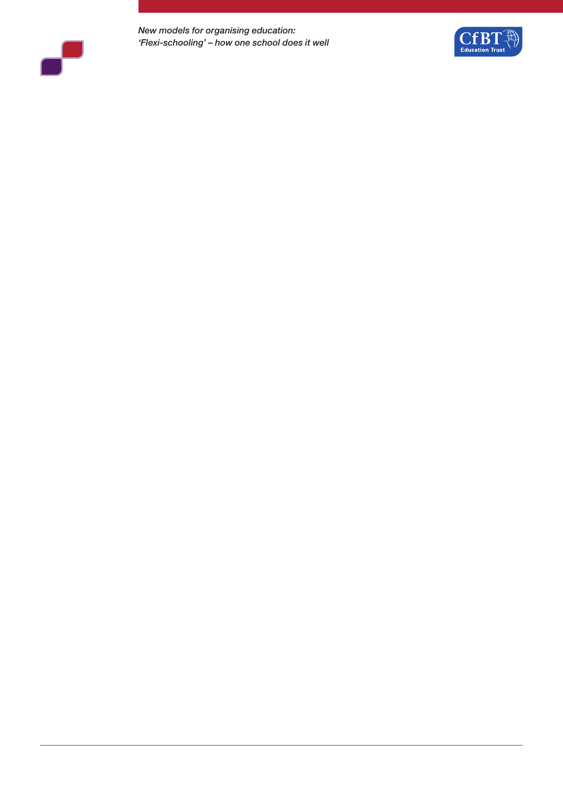